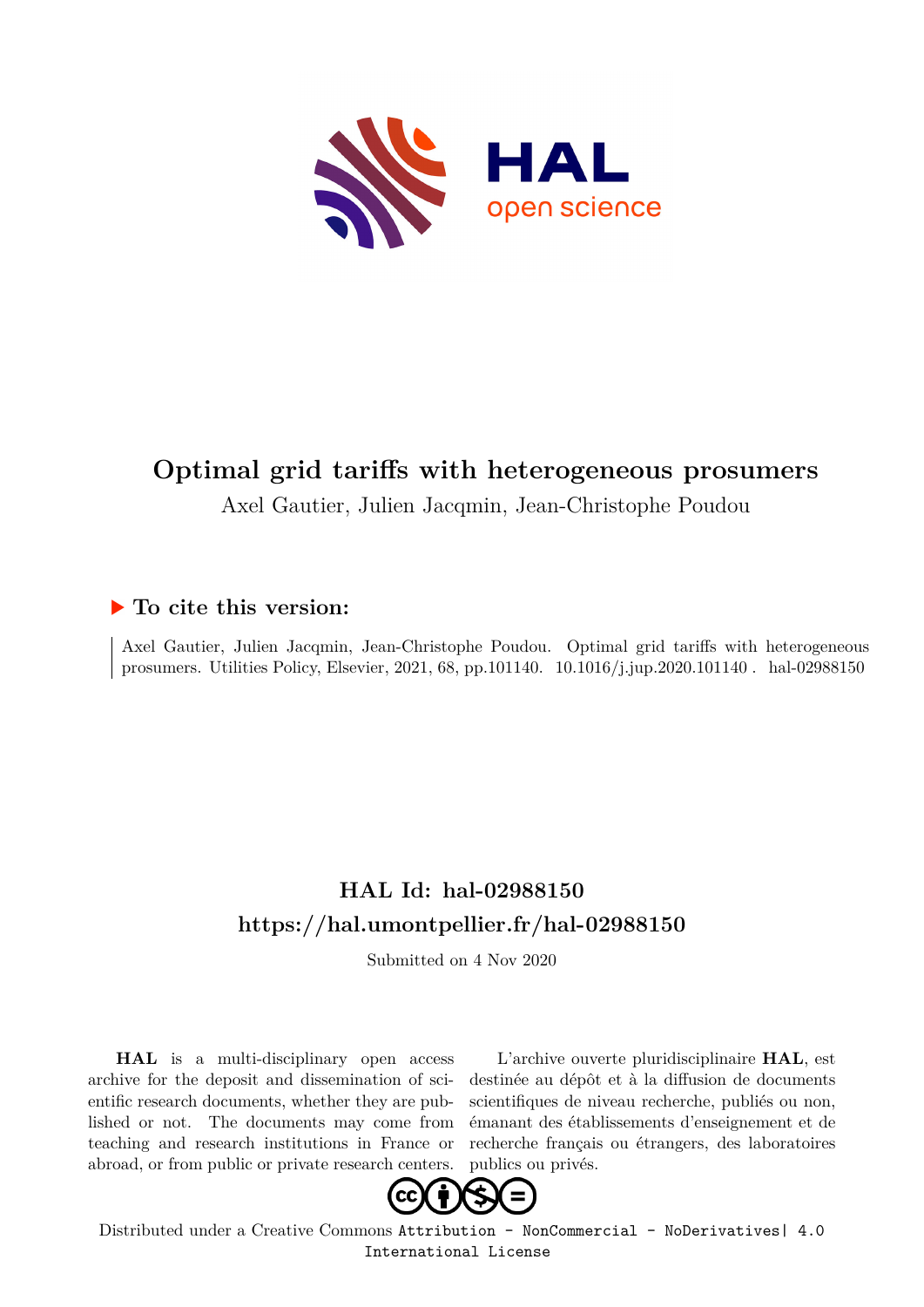

# **Optimal grid tariffs with heterogeneous prosumers**

Axel Gautier, Julien Jacqmin, Jean-Christophe Poudou

### **To cite this version:**

Axel Gautier, Julien Jacqmin, Jean-Christophe Poudou. Optimal grid tariffs with heterogeneous prosumers. Utilities Policy, Elsevier, 2021, 68, pp.101140.  $10.1016/j.jup.2020.101140$ . hal-02988150

## **HAL Id: hal-02988150 <https://hal.umontpellier.fr/hal-02988150>**

Submitted on 4 Nov 2020

**HAL** is a multi-disciplinary open access archive for the deposit and dissemination of scientific research documents, whether they are published or not. The documents may come from teaching and research institutions in France or abroad, or from public or private research centers.

L'archive ouverte pluridisciplinaire **HAL**, est destinée au dépôt et à la diffusion de documents scientifiques de niveau recherche, publiés ou non, émanant des établissements d'enseignement et de recherche français ou étrangers, des laboratoires publics ou privés.



Distributed under a Creative Commons [Attribution - NonCommercial - NoDerivatives| 4.0](http://creativecommons.org/licenses/by-nc-nd/4.0/) [International License](http://creativecommons.org/licenses/by-nc-nd/4.0/)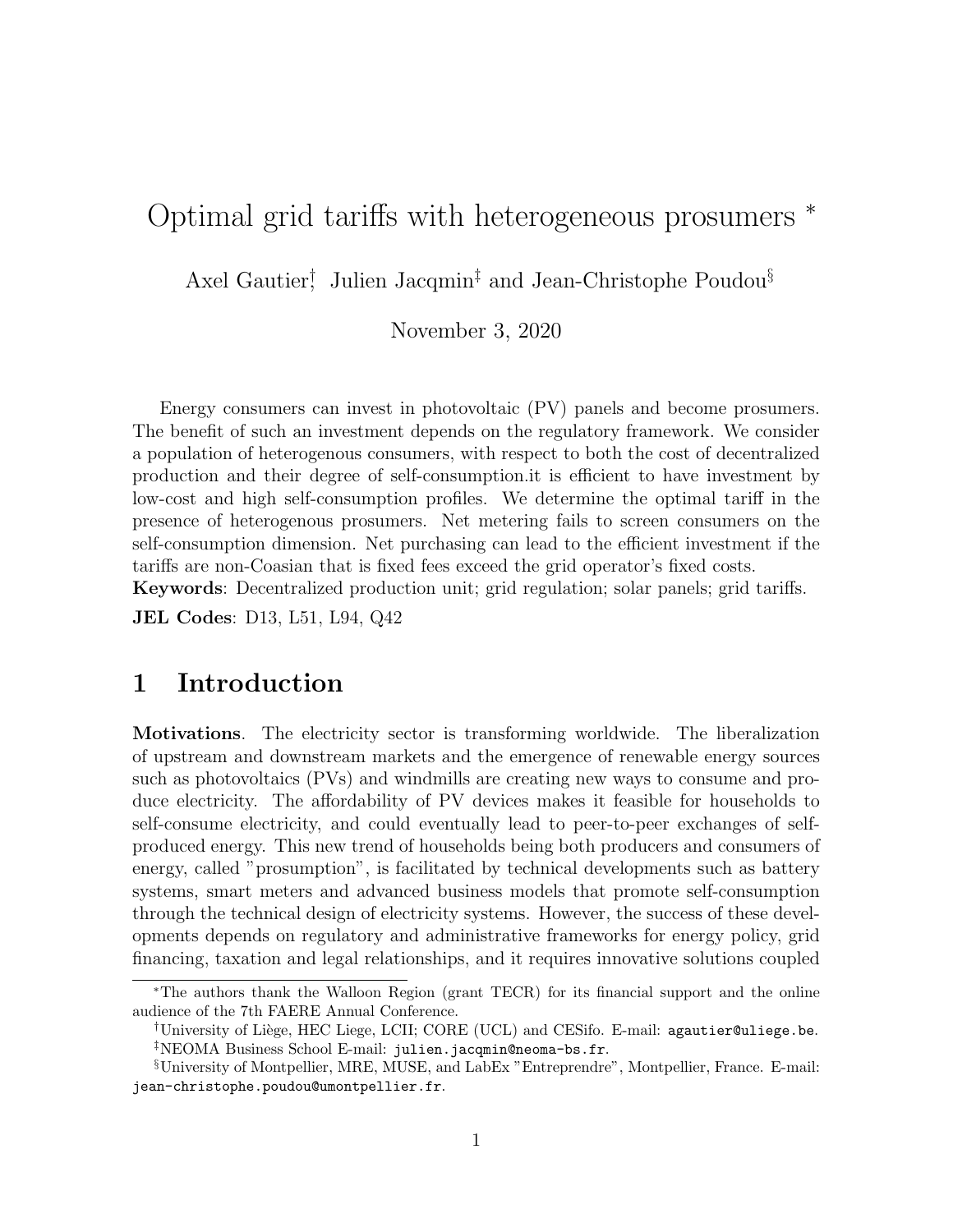## Optimal grid tariffs with heterogeneous prosumers <sup>∗</sup>

Axel Gautier<sup>†</sup> Julien Jacqmin<sup>‡</sup> and Jean-Christophe Poudou<sup>§</sup>

November 3, 2020

Energy consumers can invest in photovoltaic (PV) panels and become prosumers. The benefit of such an investment depends on the regulatory framework. We consider a population of heterogenous consumers, with respect to both the cost of decentralized production and their degree of self-consumption.it is efficient to have investment by low-cost and high self-consumption profiles. We determine the optimal tariff in the presence of heterogenous prosumers. Net metering fails to screen consumers on the self-consumption dimension. Net purchasing can lead to the efficient investment if the tariffs are non-Coasian that is fixed fees exceed the grid operator's fixed costs. Keywords: Decentralized production unit; grid regulation; solar panels; grid tariffs.

JEL Codes: D13, L51, L94, Q42

### 1 Introduction

Motivations. The electricity sector is transforming worldwide. The liberalization of upstream and downstream markets and the emergence of renewable energy sources such as photovoltaics (PVs) and windmills are creating new ways to consume and produce electricity. The affordability of PV devices makes it feasible for households to self-consume electricity, and could eventually lead to peer-to-peer exchanges of selfproduced energy. This new trend of households being both producers and consumers of energy, called "prosumption", is facilitated by technical developments such as battery systems, smart meters and advanced business models that promote self-consumption through the technical design of electricity systems. However, the success of these developments depends on regulatory and administrative frameworks for energy policy, grid financing, taxation and legal relationships, and it requires innovative solutions coupled

<sup>∗</sup>The authors thank the Walloon Region (grant TECR) for its financial support and the online audience of the 7th FAERE Annual Conference.

 $\dagger$ University of Liège, HEC Liege, LCII; CORE (UCL) and CESifo. E-mail: agautier@uliege.be. ‡NEOMA Business School E-mail: julien.jacqmin@neoma-bs.fr.

<sup>§</sup>University of Montpellier, MRE, MUSE, and LabEx "Entreprendre", Montpellier, France. E-mail: jean-christophe.poudou@umontpellier.fr.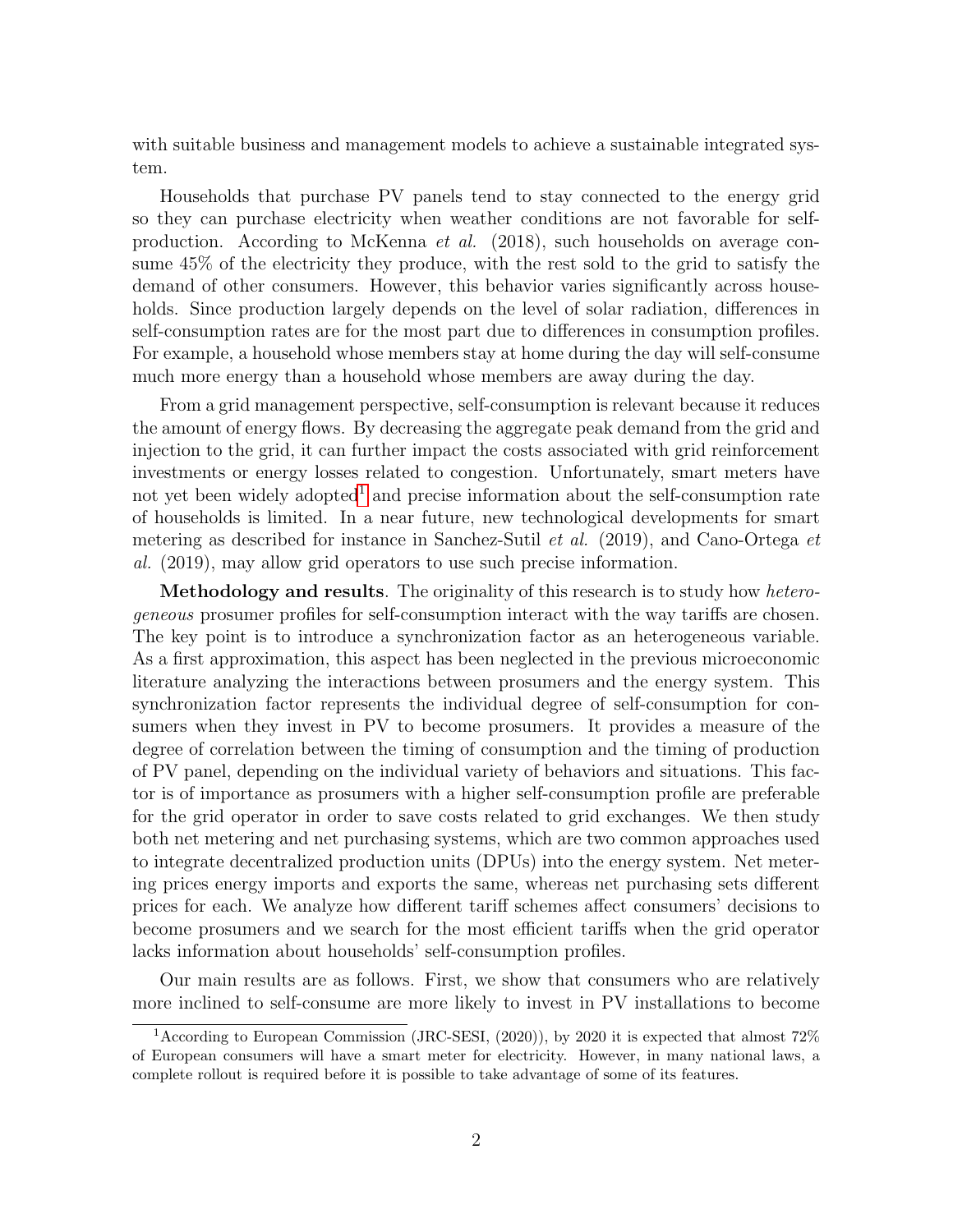with suitable business and management models to achieve a sustainable integrated system.

Households that purchase PV panels tend to stay connected to the energy grid so they can purchase electricity when weather conditions are not favorable for selfproduction. According to McKenna et al. (2018), such households on average consume 45% of the electricity they produce, with the rest sold to the grid to satisfy the demand of other consumers. However, this behavior varies significantly across households. Since production largely depends on the level of solar radiation, differences in self-consumption rates are for the most part due to differences in consumption profiles. For example, a household whose members stay at home during the day will self-consume much more energy than a household whose members are away during the day.

From a grid management perspective, self-consumption is relevant because it reduces the amount of energy flows. By decreasing the aggregate peak demand from the grid and injection to the grid, it can further impact the costs associated with grid reinforcement investments or energy losses related to congestion. Unfortunately, smart meters have not yet been widely adopted<sup>1</sup> and precise information about the self-consumption rate of households is limited. In a near future, new technological developments for smart metering as described for instance in Sanchez-Sutil et al. (2019), and Cano-Ortega et al. (2019), may allow grid operators to use such precise information.

Methodology and results. The originality of this research is to study how *hetero*geneous prosumer profiles for self-consumption interact with the way tariffs are chosen. The key point is to introduce a synchronization factor as an heterogeneous variable. As a first approximation, this aspect has been neglected in the previous microeconomic literature analyzing the interactions between prosumers and the energy system. This synchronization factor represents the individual degree of self-consumption for consumers when they invest in PV to become prosumers. It provides a measure of the degree of correlation between the timing of consumption and the timing of production of PV panel, depending on the individual variety of behaviors and situations. This factor is of importance as prosumers with a higher self-consumption profile are preferable for the grid operator in order to save costs related to grid exchanges. We then study both net metering and net purchasing systems, which are two common approaches used to integrate decentralized production units (DPUs) into the energy system. Net metering prices energy imports and exports the same, whereas net purchasing sets different prices for each. We analyze how different tariff schemes affect consumers' decisions to become prosumers and we search for the most efficient tariffs when the grid operator lacks information about households' self-consumption profiles.

Our main results are as follows. First, we show that consumers who are relatively more inclined to self-consume are more likely to invest in PV installations to become

<sup>&</sup>lt;sup>1</sup> According to European Commission (JRC-SESI, (2020)), by 2020 it is expected that almost 72% of European consumers will have a smart meter for electricity. However, in many national laws, a complete rollout is required before it is possible to take advantage of some of its features.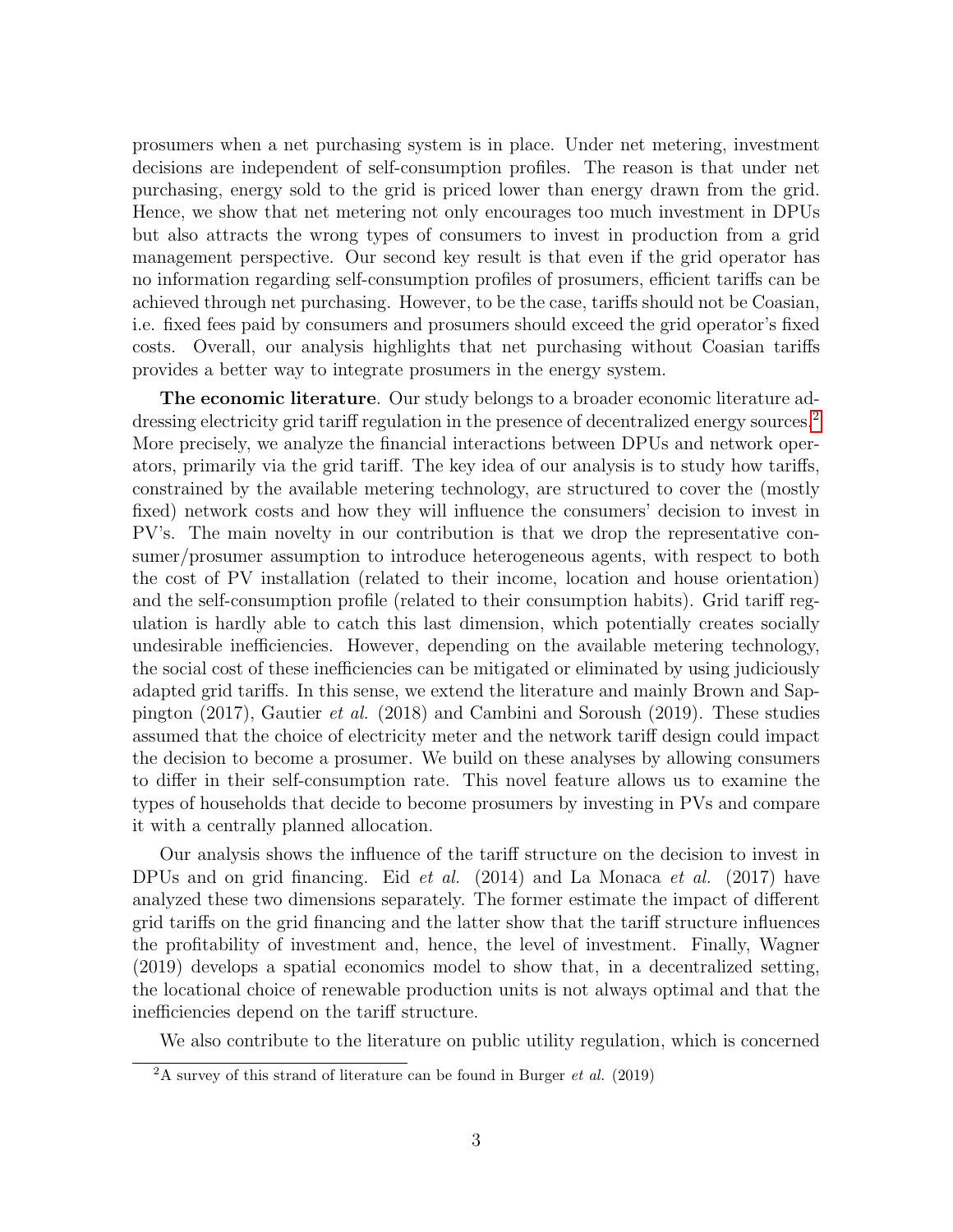prosumers when a net purchasing system is in place. Under net metering, investment decisions are independent of self-consumption profiles. The reason is that under net purchasing, energy sold to the grid is priced lower than energy drawn from the grid. Hence, we show that net metering not only encourages too much investment in DPUs but also attracts the wrong types of consumers to invest in production from a grid management perspective. Our second key result is that even if the grid operator has no information regarding self-consumption profiles of prosumers, efficient tariffs can be achieved through net purchasing. However, to be the case, tariffs should not be Coasian, i.e. fixed fees paid by consumers and prosumers should exceed the grid operator's fixed costs. Overall, our analysis highlights that net purchasing without Coasian tariffs provides a better way to integrate prosumers in the energy system.

The economic literature. Our study belongs to a broader economic literature addressing electricity grid tariff regulation in the presence of decentralized energy sources.<sup>2</sup> More precisely, we analyze the financial interactions between DPUs and network operators, primarily via the grid tariff. The key idea of our analysis is to study how tariffs, constrained by the available metering technology, are structured to cover the (mostly fixed) network costs and how they will influence the consumers' decision to invest in PV's. The main novelty in our contribution is that we drop the representative consumer/prosumer assumption to introduce heterogeneous agents, with respect to both the cost of PV installation (related to their income, location and house orientation) and the self-consumption profile (related to their consumption habits). Grid tariff regulation is hardly able to catch this last dimension, which potentially creates socially undesirable inefficiencies. However, depending on the available metering technology, the social cost of these inefficiencies can be mitigated or eliminated by using judiciously adapted grid tariffs. In this sense, we extend the literature and mainly Brown and Sappington (2017), Gautier et al. (2018) and Cambini and Soroush (2019). These studies assumed that the choice of electricity meter and the network tariff design could impact the decision to become a prosumer. We build on these analyses by allowing consumers to differ in their self-consumption rate. This novel feature allows us to examine the types of households that decide to become prosumers by investing in PVs and compare it with a centrally planned allocation.

Our analysis shows the influence of the tariff structure on the decision to invest in DPUs and on grid financing. Eid *et al.* (2014) and La Monaca *et al.* (2017) have analyzed these two dimensions separately. The former estimate the impact of different grid tariffs on the grid financing and the latter show that the tariff structure influences the profitability of investment and, hence, the level of investment. Finally, Wagner (2019) develops a spatial economics model to show that, in a decentralized setting, the locational choice of renewable production units is not always optimal and that the inefficiencies depend on the tariff structure.

We also contribute to the literature on public utility regulation, which is concerned

 $2A$  survey of this strand of literature can be found in Burger *et al.* (2019)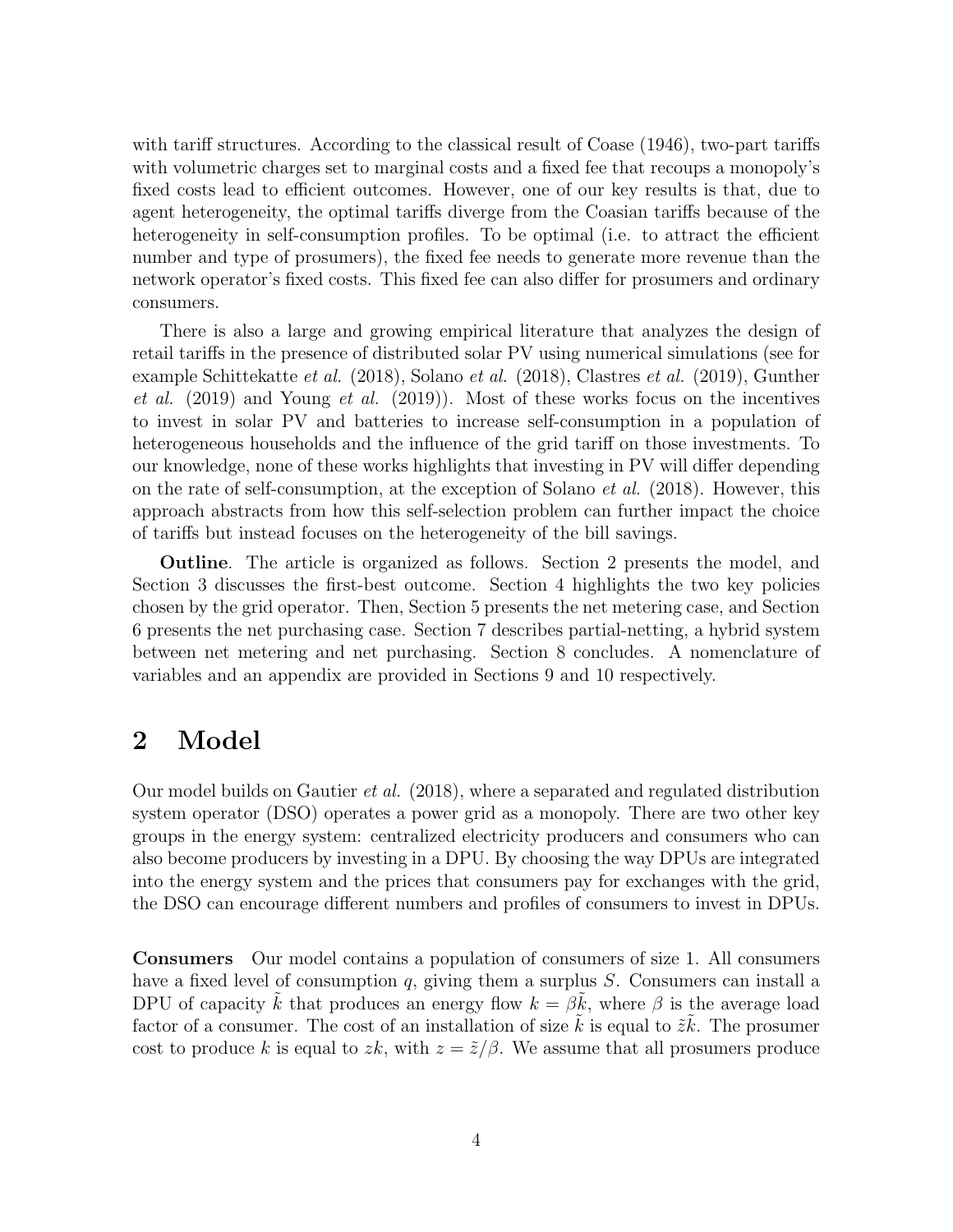with tariff structures. According to the classical result of Coase  $(1946)$ , two-part tariffs with volumetric charges set to marginal costs and a fixed fee that recoups a monopoly's fixed costs lead to efficient outcomes. However, one of our key results is that, due to agent heterogeneity, the optimal tariffs diverge from the Coasian tariffs because of the heterogeneity in self-consumption profiles. To be optimal (i.e. to attract the efficient number and type of prosumers), the fixed fee needs to generate more revenue than the network operator's fixed costs. This fixed fee can also differ for prosumers and ordinary consumers.

There is also a large and growing empirical literature that analyzes the design of retail tariffs in the presence of distributed solar PV using numerical simulations (see for example Schittekatte et al. (2018), Solano et al. (2018), Clastres et al. (2019), Gunther et al.  $(2019)$  and Young et al.  $(2019)$ ). Most of these works focus on the incentives to invest in solar PV and batteries to increase self-consumption in a population of heterogeneous households and the influence of the grid tariff on those investments. To our knowledge, none of these works highlights that investing in PV will differ depending on the rate of self-consumption, at the exception of Solano *et al.* (2018). However, this approach abstracts from how this self-selection problem can further impact the choice of tariffs but instead focuses on the heterogeneity of the bill savings.

Outline. The article is organized as follows. Section 2 presents the model, and Section 3 discusses the first-best outcome. Section 4 highlights the two key policies chosen by the grid operator. Then, Section 5 presents the net metering case, and Section 6 presents the net purchasing case. Section 7 describes partial-netting, a hybrid system between net metering and net purchasing. Section 8 concludes. A nomenclature of variables and an appendix are provided in Sections 9 and 10 respectively.

### 2 Model

Our model builds on Gautier *et al.* (2018), where a separated and regulated distribution system operator (DSO) operates a power grid as a monopoly. There are two other key groups in the energy system: centralized electricity producers and consumers who can also become producers by investing in a DPU. By choosing the way DPUs are integrated into the energy system and the prices that consumers pay for exchanges with the grid, the DSO can encourage different numbers and profiles of consumers to invest in DPUs.

Consumers Our model contains a population of consumers of size 1. All consumers have a fixed level of consumption q, giving them a surplus  $S$ . Consumers can install a DPU of capacity k that produces an energy flow  $k = \beta k$ , where  $\beta$  is the average load factor of a consumer. The cost of an installation of size  $\tilde{k}$  is equal to  $\tilde{z}\tilde{k}$ . The prosumer cost to produce k is equal to zk, with  $z = \tilde{z}/\beta$ . We assume that all prosumers produce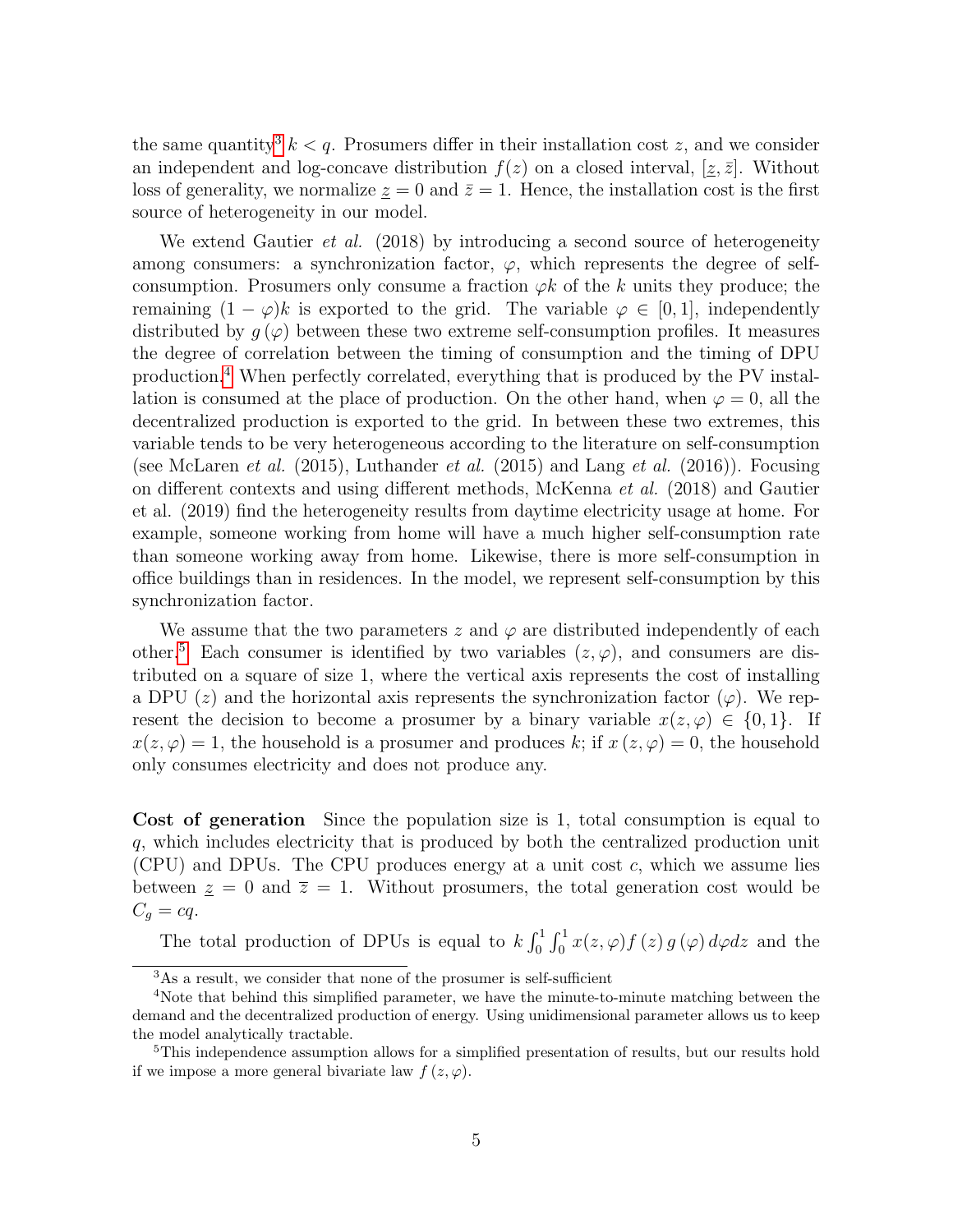the same quantity<sup>3</sup>  $k < q$ . Prosumers differ in their installation cost z, and we consider an independent and log-concave distribution  $f(z)$  on a closed interval,  $[\underline{z}, \overline{z}]$ . Without loss of generality, we normalize  $z = 0$  and  $\bar{z} = 1$ . Hence, the installation cost is the first source of heterogeneity in our model.

We extend Gautier *et al.* (2018) by introducing a second source of heterogeneity among consumers: a synchronization factor,  $\varphi$ , which represents the degree of selfconsumption. Prosumers only consume a fraction  $\varphi k$  of the k units they produce; the remaining  $(1 - \varphi)k$  is exported to the grid. The variable  $\varphi \in [0, 1]$ , independently distributed by  $g(\varphi)$  between these two extreme self-consumption profiles. It measures the degree of correlation between the timing of consumption and the timing of DPU production.4 When perfectly correlated, everything that is produced by the PV installation is consumed at the place of production. On the other hand, when  $\varphi = 0$ , all the decentralized production is exported to the grid. In between these two extremes, this variable tends to be very heterogeneous according to the literature on self-consumption (see McLaren *et al.* (2015), Luthander *et al.* (2015) and Lang *et al.* (2016)). Focusing on different contexts and using different methods, McKenna et al. (2018) and Gautier et al. (2019) find the heterogeneity results from daytime electricity usage at home. For example, someone working from home will have a much higher self-consumption rate than someone working away from home. Likewise, there is more self-consumption in office buildings than in residences. In the model, we represent self-consumption by this synchronization factor.

We assume that the two parameters z and  $\varphi$  are distributed independently of each other.<sup>5</sup> Each consumer is identified by two variables  $(z, \varphi)$ , and consumers are distributed on a square of size 1, where the vertical axis represents the cost of installing a DPU (z) and the horizontal axis represents the synchronization factor ( $\varphi$ ). We represent the decision to become a prosumer by a binary variable  $x(z, \varphi) \in \{0, 1\}$ . If  $x(z, \varphi) = 1$ , the household is a prosumer and produces k; if  $x(z, \varphi) = 0$ , the household only consumes electricity and does not produce any.

Cost of generation Since the population size is 1, total consumption is equal to q, which includes electricity that is produced by both the centralized production unit (CPU) and DPUs. The CPU produces energy at a unit cost c, which we assume lies between  $z = 0$  and  $\overline{z} = 1$ . Without prosumers, the total generation cost would be  $C_q = cq.$ 

The total production of DPUs is equal to  $k \int_0^1 \int_0^1 x(z, \varphi) f(z) g(\varphi) d\varphi dz$  and the

<sup>3</sup>As a result, we consider that none of the prosumer is self-sufficient

<sup>&</sup>lt;sup>4</sup>Note that behind this simplified parameter, we have the minute-to-minute matching between the demand and the decentralized production of energy. Using unidimensional parameter allows us to keep the model analytically tractable.

<sup>&</sup>lt;sup>5</sup>This independence assumption allows for a simplified presentation of results, but our results hold if we impose a more general bivariate law  $f(z, \varphi)$ .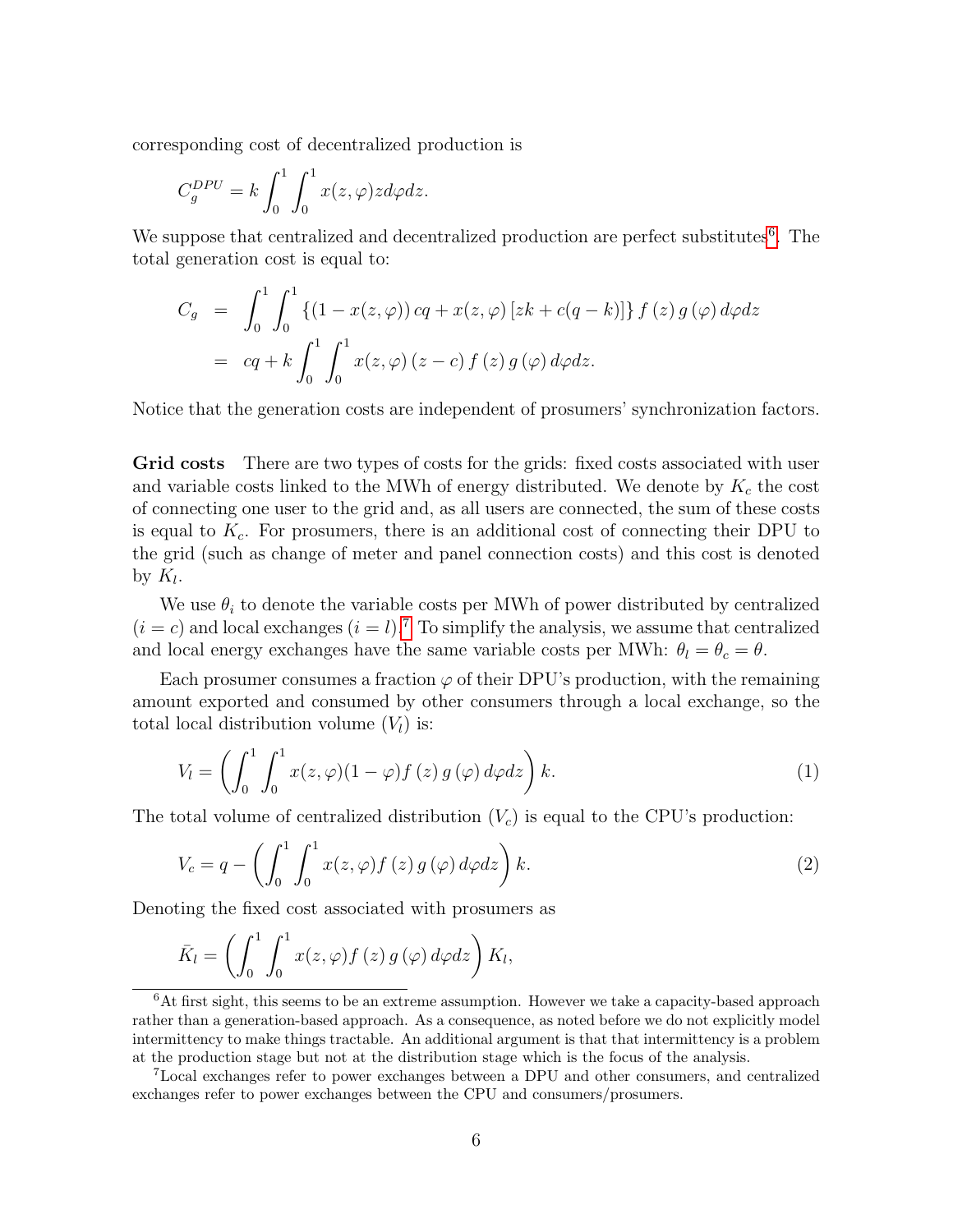corresponding cost of decentralized production is

$$
C_g^{DPU} = k \int_0^1 \int_0^1 x(z, \varphi) z d\varphi dz.
$$

We suppose that centralized and decentralized production are perfect substitutes<sup>6</sup>. The total generation cost is equal to:

$$
C_g = \int_0^1 \int_0^1 \left\{ (1 - x(z, \varphi)) c q + x(z, \varphi) [z k + c (q - k)] \right\} f(z) g(\varphi) d\varphi dz
$$
  
=  $c q + k \int_0^1 \int_0^1 x(z, \varphi) (z - c) f(z) g(\varphi) d\varphi dz.$ 

Notice that the generation costs are independent of prosumers' synchronization factors.

Grid costs There are two types of costs for the grids: fixed costs associated with user and variable costs linked to the MWh of energy distributed. We denote by  $K_c$  the cost of connecting one user to the grid and, as all users are connected, the sum of these costs is equal to  $K_c$ . For prosumers, there is an additional cost of connecting their DPU to the grid (such as change of meter and panel connection costs) and this cost is denoted by  $K_l$ .

We use  $\theta_i$  to denote the variable costs per MWh of power distributed by centralized  $(i = c)$  and local exchanges  $(i = l)$ .<sup>7</sup> To simplify the analysis, we assume that centralized and local energy exchanges have the same variable costs per MWh:  $\theta_l = \theta_c = \theta$ .

Each prosumer consumes a fraction  $\varphi$  of their DPU's production, with the remaining amount exported and consumed by other consumers through a local exchange, so the total local distribution volume  $(V_l)$  is:

$$
V_l = \left(\int_0^1 \int_0^1 x(z,\varphi)(1-\varphi)f(z) g(\varphi) d\varphi dz\right) k.
$$
 (1)

The total volume of centralized distribution  $(V<sub>c</sub>)$  is equal to the CPU's production:

$$
V_c = q - \left(\int_0^1 \int_0^1 x(z, \varphi) f(z) g(\varphi) d\varphi dz\right) k.
$$
 (2)

Denoting the fixed cost associated with prosumers as

$$
\bar{K}_{l} = \left(\int_{0}^{1} \int_{0}^{1} x(z, \varphi) f(z) g(\varphi) d\varphi dz\right) K_{l},
$$

 ${}^{6}$ At first sight, this seems to be an extreme assumption. However we take a capacity-based approach rather than a generation-based approach. As a consequence, as noted before we do not explicitly model intermittency to make things tractable. An additional argument is that that intermittency is a problem at the production stage but not at the distribution stage which is the focus of the analysis.

<sup>7</sup>Local exchanges refer to power exchanges between a DPU and other consumers, and centralized exchanges refer to power exchanges between the CPU and consumers/prosumers.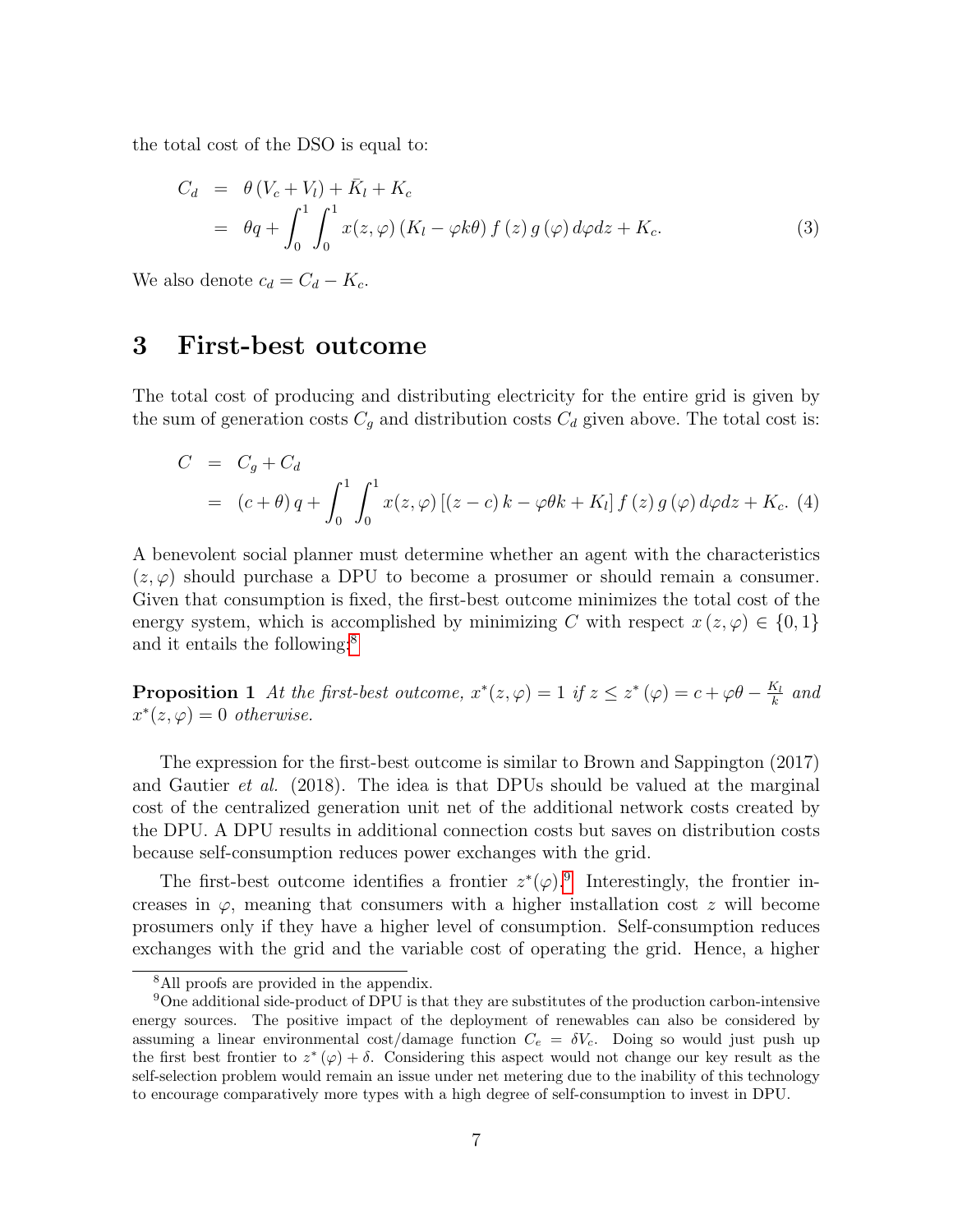the total cost of the DSO is equal to:

$$
C_d = \theta (V_c + V_l) + \bar{K}_l + K_c
$$
  
=  $\theta q + \int_0^1 \int_0^1 x(z, \varphi) (K_l - \varphi k\theta) f(z) g(\varphi) d\varphi dz + K_c.$  (3)

We also denote  $c_d = C_d - K_c$ .

### 3 First-best outcome

The total cost of producing and distributing electricity for the entire grid is given by the sum of generation costs  $C_q$  and distribution costs  $C_d$  given above. The total cost is:

$$
C = C_g + C_d
$$
  
=  $(c + \theta) q + \int_0^1 \int_0^1 x(z, \varphi) [(z - c) k - \varphi \theta k + K_l] f(z) g(\varphi) d\varphi dz + K_c.$  (4)

A benevolent social planner must determine whether an agent with the characteristics  $(z, \varphi)$  should purchase a DPU to become a prosumer or should remain a consumer. Given that consumption is fixed, the first-best outcome minimizes the total cost of the energy system, which is accomplished by minimizing C with respect  $x(z, \varphi) \in \{0, 1\}$ and it entails the following:<sup>8</sup>

**Proposition 1** At the first-best outcome,  $x^*(z, \varphi) = 1$  if  $z \leq z^*(\varphi) = c + \varphi \theta - \frac{K_l}{k}$  $\frac{\kappa_l}{k}$  and  $x^*(z, \varphi) = 0$  otherwise.

The expression for the first-best outcome is similar to Brown and Sappington (2017) and Gautier *et al.* (2018). The idea is that DPUs should be valued at the marginal cost of the centralized generation unit net of the additional network costs created by the DPU. A DPU results in additional connection costs but saves on distribution costs because self-consumption reduces power exchanges with the grid.

The first-best outcome identifies a frontier  $z^*(\varphi)$ .<sup>9</sup> Interestingly, the frontier increases in  $\varphi$ , meaning that consumers with a higher installation cost z will become prosumers only if they have a higher level of consumption. Self-consumption reduces exchanges with the grid and the variable cost of operating the grid. Hence, a higher

<sup>&</sup>lt;sup>8</sup>All proofs are provided in the appendix.

<sup>9</sup>One additional side-product of DPU is that they are substitutes of the production carbon-intensive energy sources. The positive impact of the deployment of renewables can also be considered by assuming a linear environmental cost/damage function  $C_e = \delta V_c$ . Doing so would just push up the first best frontier to  $z^*(\varphi) + \delta$ . Considering this aspect would not change our key result as the self-selection problem would remain an issue under net metering due to the inability of this technology to encourage comparatively more types with a high degree of self-consumption to invest in DPU.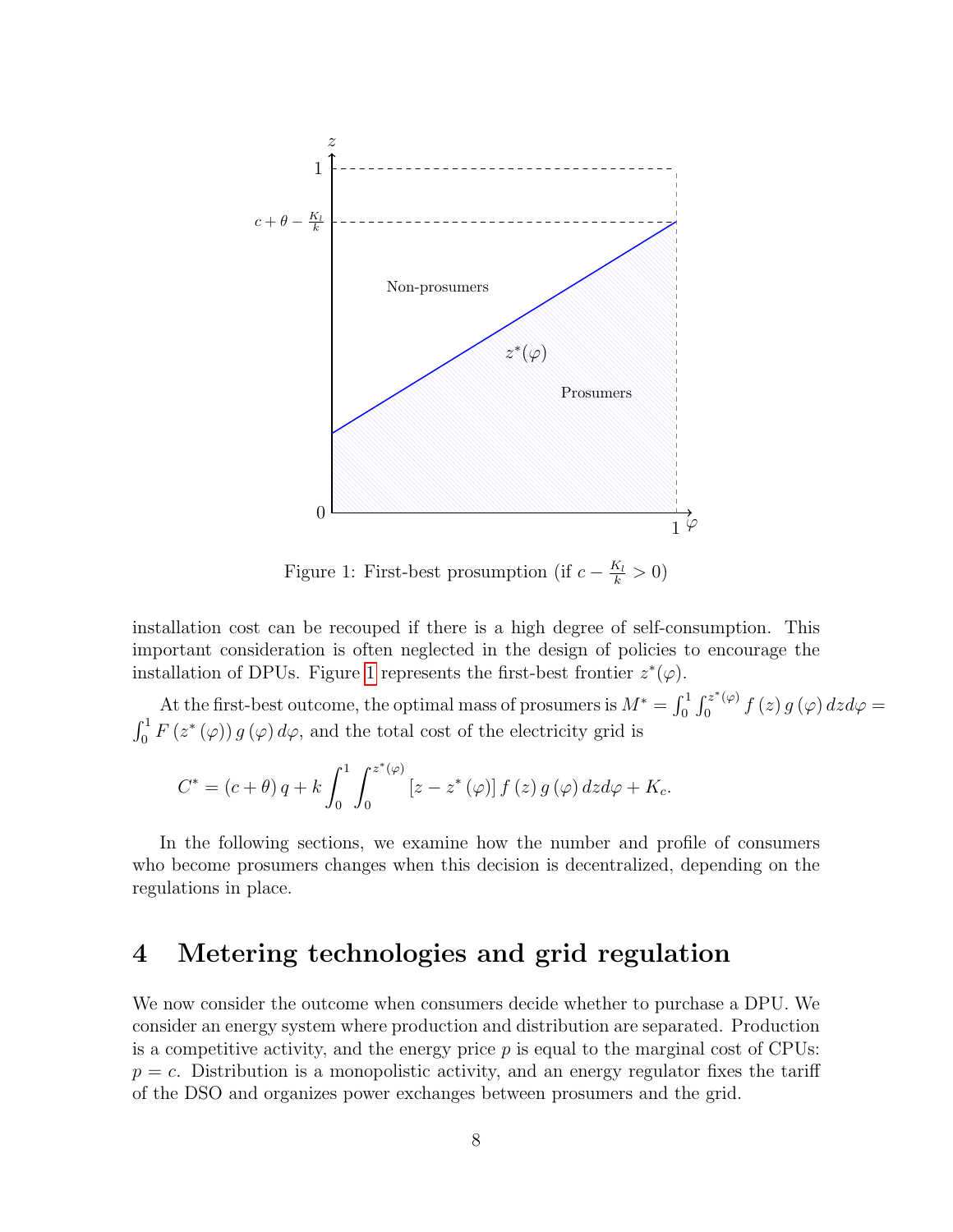

Figure 1: First-best prosumption (if  $c - \frac{K_l}{k} > 0$ )

installation cost can be recouped if there is a high degree of self-consumption. This important consideration is often neglected in the design of policies to encourage the installation of DPUs. Figure 1 represents the first-best frontier  $z^*(\varphi)$ .

At the first-best outcome, the optimal mass of prosumers is  $M^* = \int_0^1 \int_0^{z^*(\varphi)}$  $\int_{0}^{z^{2}(\varphi)}f\left( z\right) g\left( \varphi\right) dzd\varphi=0$  $\int_0^1 F(z^*(\varphi)) g(\varphi) d\varphi$ , and the total cost of the electricity grid is

$$
C^* = (c + \theta) q + k \int_0^1 \int_0^{z^*(\varphi)} \left[ z - z^*(\varphi) \right] f(z) g(\varphi) dz d\varphi + K_c.
$$

In the following sections, we examine how the number and profile of consumers who become prosumers changes when this decision is decentralized, depending on the regulations in place.

### 4 Metering technologies and grid regulation

We now consider the outcome when consumers decide whether to purchase a DPU. We consider an energy system where production and distribution are separated. Production is a competitive activity, and the energy price  $p$  is equal to the marginal cost of CPUs:  $p = c$ . Distribution is a monopolistic activity, and an energy regulator fixes the tariff of the DSO and organizes power exchanges between prosumers and the grid.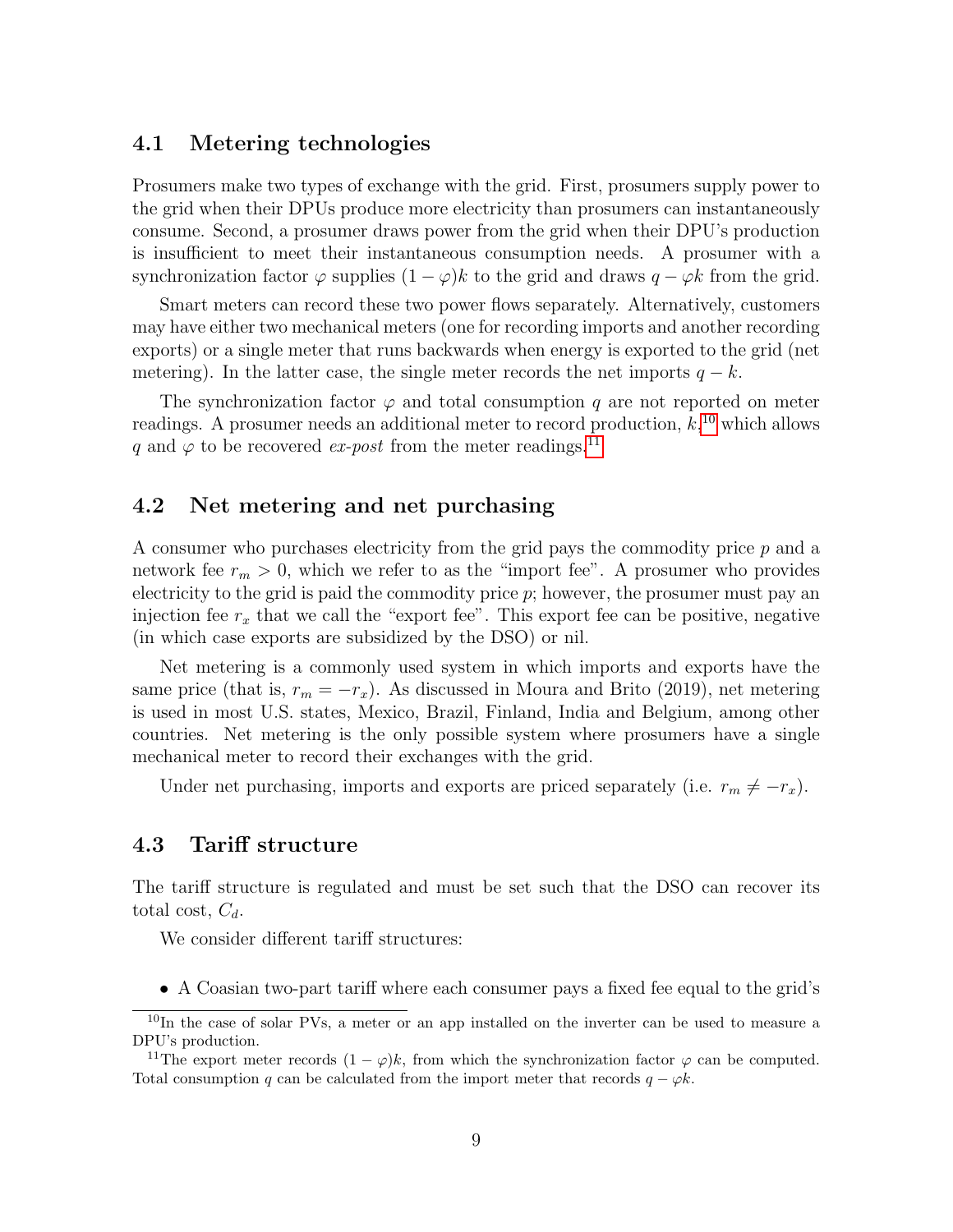#### 4.1 Metering technologies

Prosumers make two types of exchange with the grid. First, prosumers supply power to the grid when their DPUs produce more electricity than prosumers can instantaneously consume. Second, a prosumer draws power from the grid when their DPU's production is insufficient to meet their instantaneous consumption needs. A prosumer with a synchronization factor  $\varphi$  supplies  $(1 - \varphi)k$  to the grid and draws  $q - \varphi k$  from the grid.

Smart meters can record these two power flows separately. Alternatively, customers may have either two mechanical meters (one for recording imports and another recording exports) or a single meter that runs backwards when energy is exported to the grid (net metering). In the latter case, the single meter records the net imports  $q - k$ .

The synchronization factor  $\varphi$  and total consumption q are not reported on meter readings. A prosumer needs an additional meter to record production,  $k,^{10}$  which allows q and  $\varphi$  to be recovered ex-post from the meter readings.<sup>11</sup>

#### 4.2 Net metering and net purchasing

A consumer who purchases electricity from the grid pays the commodity price p and a network fee  $r_m > 0$ , which we refer to as the "import fee". A prosumer who provides electricity to the grid is paid the commodity price  $p$ ; however, the prosumer must pay an injection fee  $r_x$  that we call the "export fee". This export fee can be positive, negative (in which case exports are subsidized by the DSO) or nil.

Net metering is a commonly used system in which imports and exports have the same price (that is,  $r_m = -r_x$ ). As discussed in Moura and Brito (2019), net metering is used in most U.S. states, Mexico, Brazil, Finland, India and Belgium, among other countries. Net metering is the only possible system where prosumers have a single mechanical meter to record their exchanges with the grid.

Under net purchasing, imports and exports are priced separately (i.e.  $r_m \neq -r_x$ ).

#### 4.3 Tariff structure

The tariff structure is regulated and must be set such that the DSO can recover its total cost,  $C_d$ .

We consider different tariff structures:

• A Coasian two-part tariff where each consumer pays a fixed fee equal to the grid's

<sup>&</sup>lt;sup>10</sup>In the case of solar PVs, a meter or an app installed on the inverter can be used to measure a DPU's production.

<sup>&</sup>lt;sup>11</sup>The export meter records  $(1 - \varphi)k$ , from which the synchronization factor  $\varphi$  can be computed. Total consumption q can be calculated from the import meter that records  $q - \varphi k$ .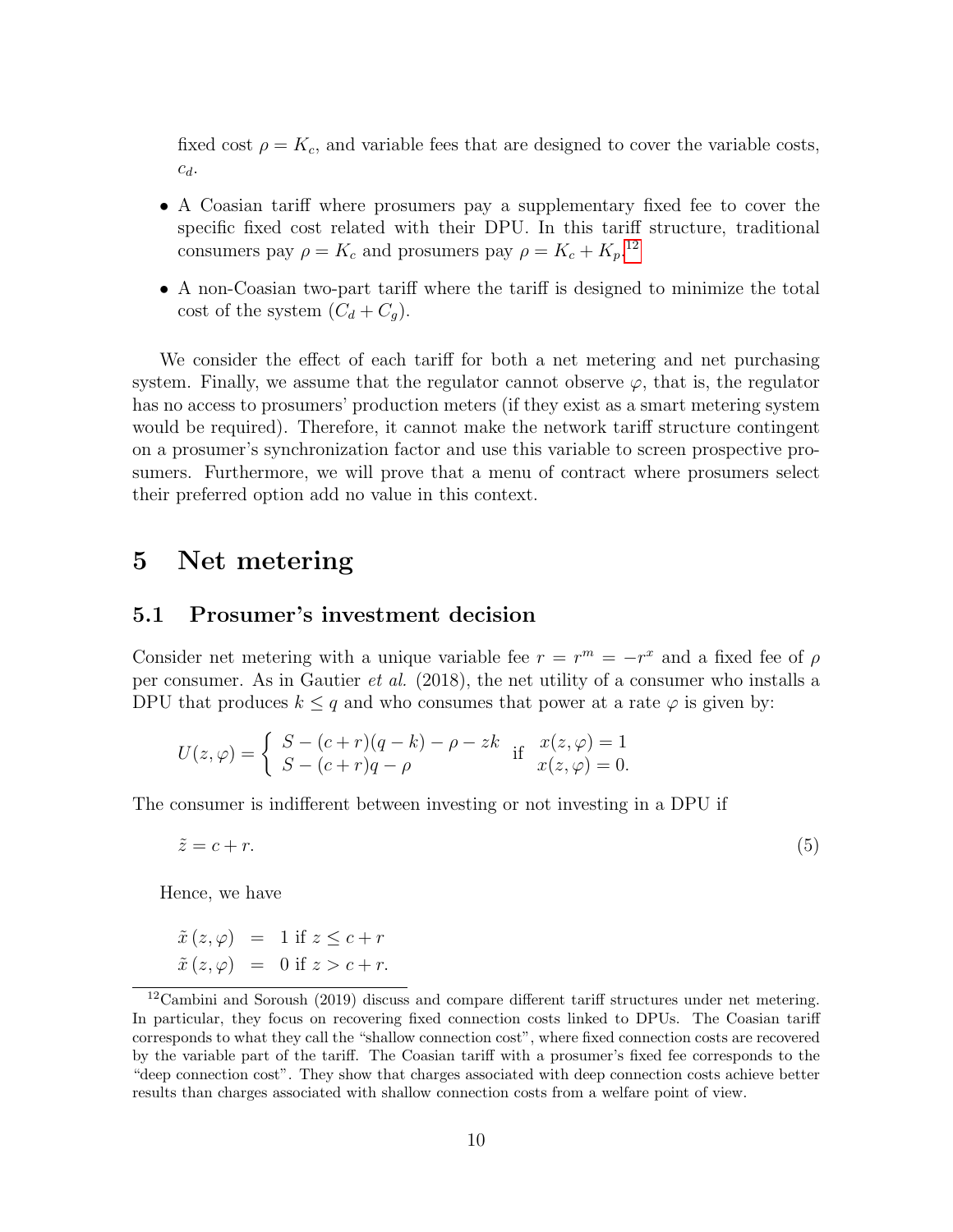fixed cost  $\rho = K_c$ , and variable fees that are designed to cover the variable costs,  $c_d$ .

- A Coasian tariff where prosumers pay a supplementary fixed fee to cover the specific fixed cost related with their DPU. In this tariff structure, traditional consumers pay  $\rho = K_c$  and prosumers pay  $\rho = K_c + K_p$ <sup>12</sup>
- A non-Coasian two-part tariff where the tariff is designed to minimize the total cost of the system  $(C_d + C_q)$ .

We consider the effect of each tariff for both a net metering and net purchasing system. Finally, we assume that the regulator cannot observe  $\varphi$ , that is, the regulator has no access to prosumers' production meters (if they exist as a smart metering system would be required). Therefore, it cannot make the network tariff structure contingent on a prosumer's synchronization factor and use this variable to screen prospective prosumers. Furthermore, we will prove that a menu of contract where prosumers select their preferred option add no value in this context.

### 5 Net metering

#### 5.1 Prosumer's investment decision

Consider net metering with a unique variable fee  $r = r^m = -r^x$  and a fixed fee of  $\rho$ per consumer. As in Gautier et al. (2018), the net utility of a consumer who installs a DPU that produces  $k \leq q$  and who consumes that power at a rate  $\varphi$  is given by:

$$
U(z, \varphi) = \begin{cases} S - (c+r)(q-k) - \rho - zk & \text{if } x(z, \varphi) = 1 \\ S - (c+r)q - \rho & x(z, \varphi) = 0. \end{cases}
$$

The consumer is indifferent between investing or not investing in a DPU if

$$
\tilde{z} = c + r.\tag{5}
$$

Hence, we have

$$
\tilde{x}(z,\varphi) = 1 \text{ if } z \leq c+r
$$
  

$$
\tilde{x}(z,\varphi) = 0 \text{ if } z > c+r.
$$

<sup>&</sup>lt;sup>12</sup>Cambini and Soroush (2019) discuss and compare different tariff structures under net metering. In particular, they focus on recovering fixed connection costs linked to DPUs. The Coasian tariff corresponds to what they call the "shallow connection cost", where fixed connection costs are recovered by the variable part of the tariff. The Coasian tariff with a prosumer's fixed fee corresponds to the "deep connection cost". They show that charges associated with deep connection costs achieve better results than charges associated with shallow connection costs from a welfare point of view.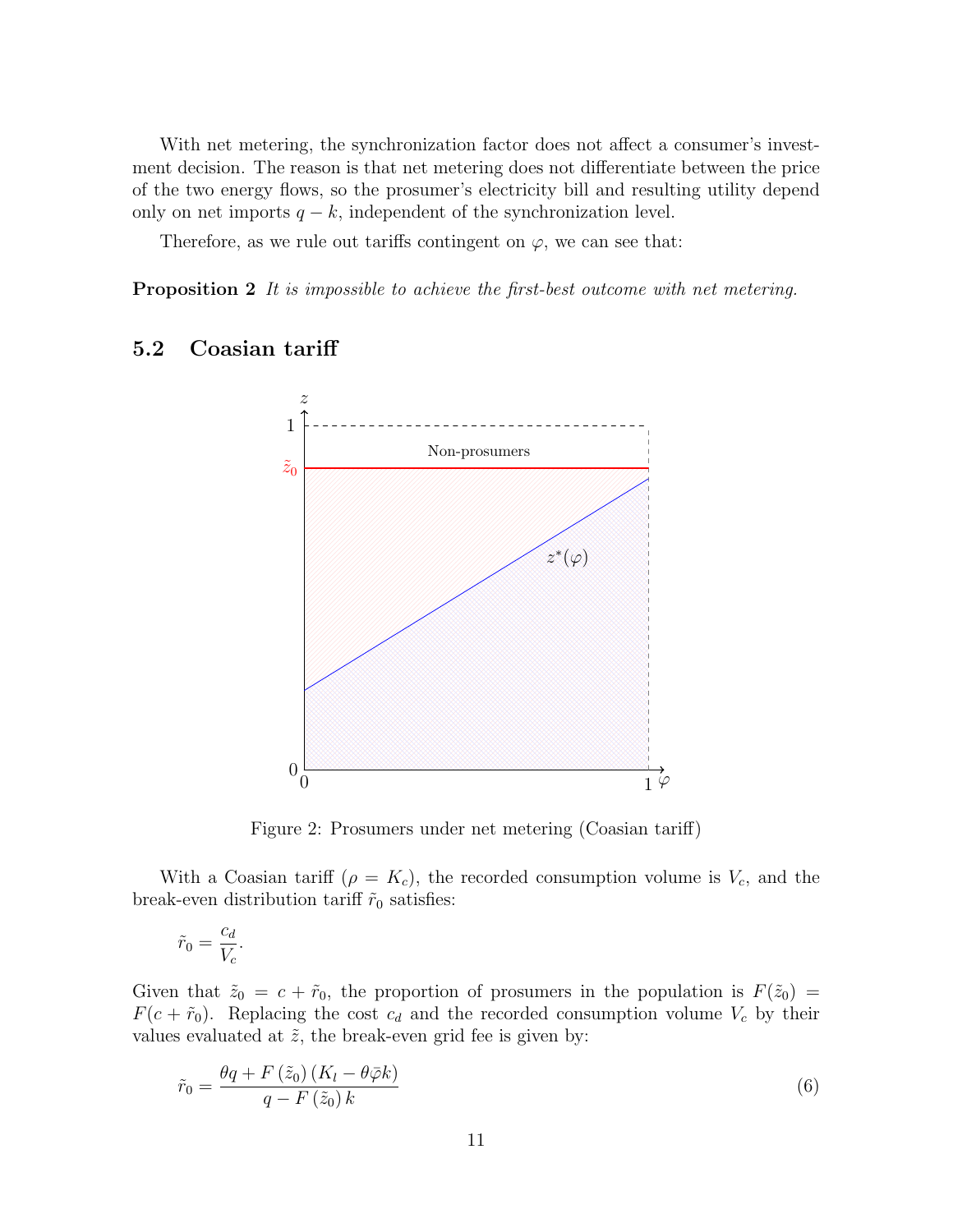With net metering, the synchronization factor does not affect a consumer's investment decision. The reason is that net metering does not differentiate between the price of the two energy flows, so the prosumer's electricity bill and resulting utility depend only on net imports  $q - k$ , independent of the synchronization level.

Therefore, as we rule out tariffs contingent on  $\varphi$ , we can see that:

**Proposition 2** It is impossible to achieve the first-best outcome with net metering.

#### 5.2 Coasian tariff



Figure 2: Prosumers under net metering (Coasian tariff)

With a Coasian tariff ( $\rho = K_c$ ), the recorded consumption volume is  $V_c$ , and the break-even distribution tariff  $\tilde{r}_0$  satisfies:

$$
\tilde{r}_0 = \frac{c_d}{V_c}.
$$

Given that  $\tilde{z}_0 = c + \tilde{r}_0$ , the proportion of prosumers in the population is  $F(\tilde{z}_0) =$  $F(c + \tilde{r}_0)$ . Replacing the cost  $c_d$  and the recorded consumption volume  $V_c$  by their values evaluated at  $\tilde{z}$ , the break-even grid fee is given by:

$$
\tilde{r}_0 = \frac{\theta q + F\left(\tilde{z}_0\right)\left(K_l - \theta \bar{\varphi} k\right)}{q - F\left(\tilde{z}_0\right) k} \tag{6}
$$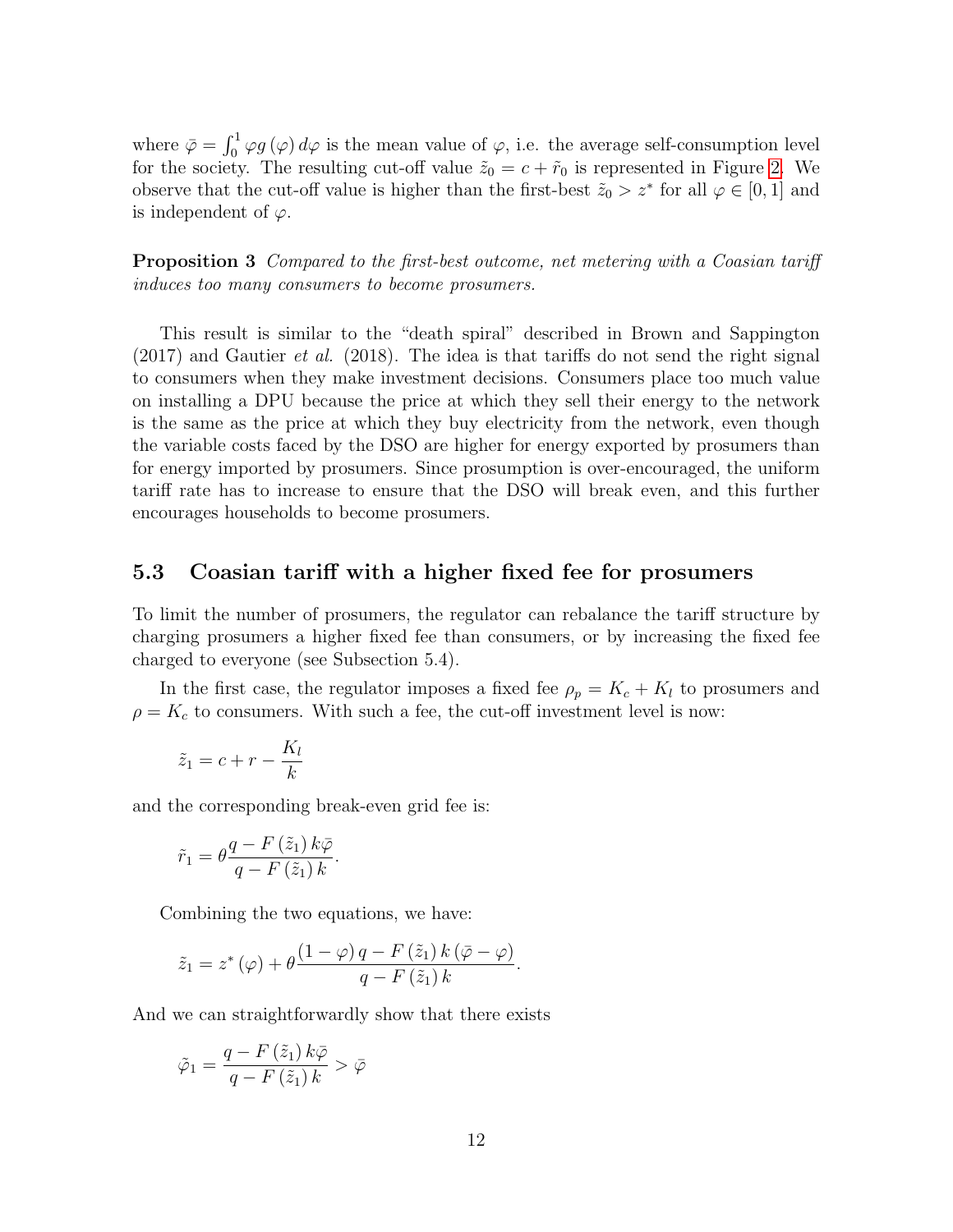where  $\bar{\varphi} = \int_0^1 \varphi g(\varphi) d\varphi$  is the mean value of  $\varphi$ , i.e. the average self-consumption level for the society. The resulting cut-off value  $\tilde{z}_0 = c + \tilde{r}_0$  is represented in Figure 2. We observe that the cut-off value is higher than the first-best  $\tilde{z}_0 > z^*$  for all  $\varphi \in [0,1]$  and is independent of  $\varphi$ .

Proposition 3 Compared to the first-best outcome, net metering with a Coasian tariff induces too many consumers to become prosumers.

This result is similar to the "death spiral" described in Brown and Sappington  $(2017)$  and Gautier *et al.* (2018). The idea is that tariffs do not send the right signal to consumers when they make investment decisions. Consumers place too much value on installing a DPU because the price at which they sell their energy to the network is the same as the price at which they buy electricity from the network, even though the variable costs faced by the DSO are higher for energy exported by prosumers than for energy imported by prosumers. Since prosumption is over-encouraged, the uniform tariff rate has to increase to ensure that the DSO will break even, and this further encourages households to become prosumers.

#### 5.3 Coasian tariff with a higher fixed fee for prosumers

To limit the number of prosumers, the regulator can rebalance the tariff structure by charging prosumers a higher fixed fee than consumers, or by increasing the fixed fee charged to everyone (see Subsection 5.4).

In the first case, the regulator imposes a fixed fee  $\rho_p = K_c + K_l$  to prosumers and  $\rho = K_c$  to consumers. With such a fee, the cut-off investment level is now:

$$
\tilde{z}_1 = c + r - \frac{K_l}{k}
$$

and the corresponding break-even grid fee is:

$$
\tilde{r}_1 = \theta \frac{q - F\left(\tilde{z}_1\right) k \bar{\varphi}}{q - F\left(\tilde{z}_1\right) k}.
$$

Combining the two equations, we have:

$$
\tilde{z}_1 = z^* (\varphi) + \theta \frac{(1 - \varphi) q - F(\tilde{z}_1) k (\bar{\varphi} - \varphi)}{q - F(\tilde{z}_1) k}.
$$

And we can straightforwardly show that there exists

$$
\tilde{\varphi}_1 = \frac{q - F\left(\tilde{z}_1\right)k\bar{\varphi}}{q - F\left(\tilde{z}_1\right)k} > \bar{\varphi}
$$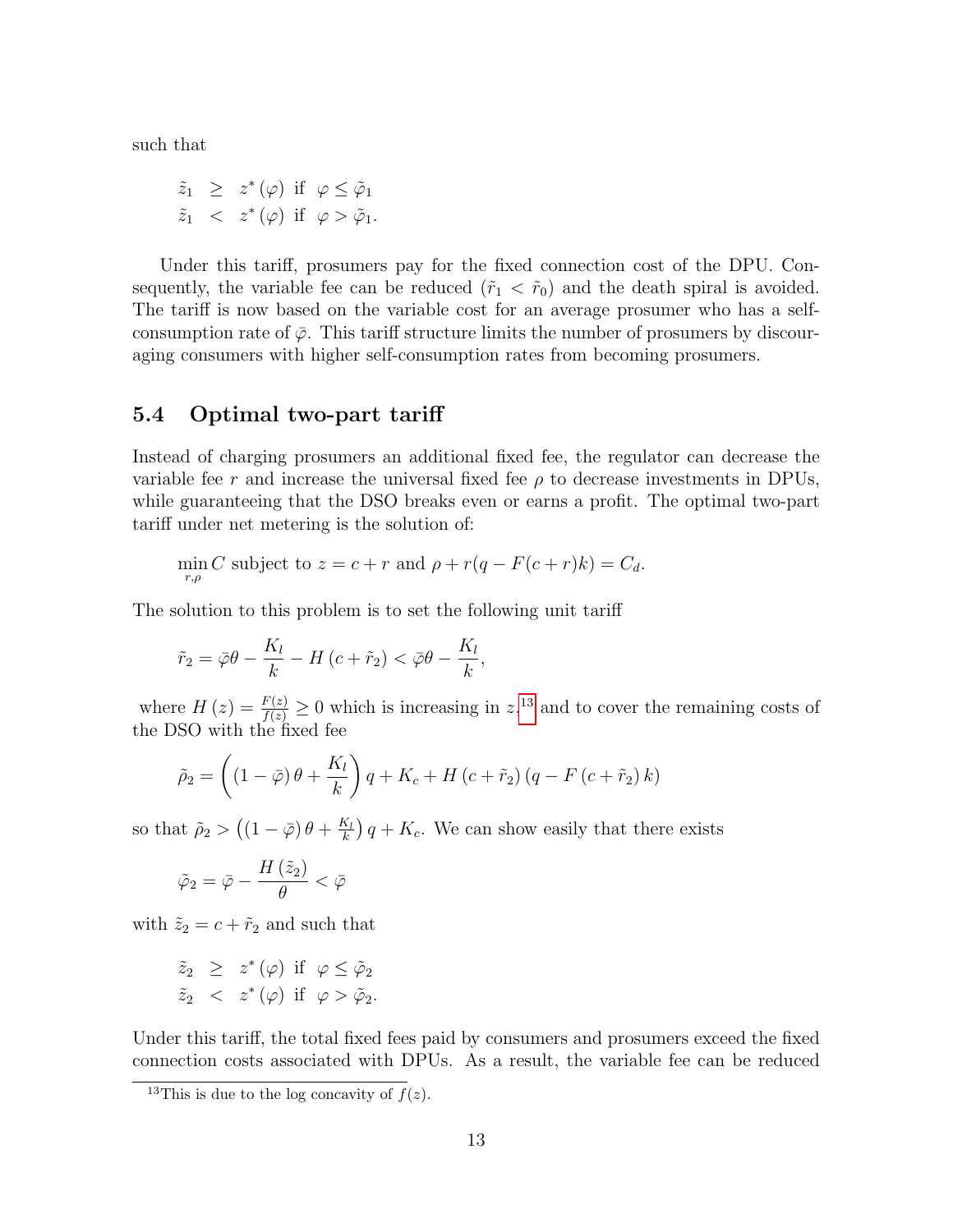such that

$$
\begin{array}{rcl}\n\tilde{z}_1 & \geq & z^*(\varphi) \text{ if } \varphi \leq \tilde{\varphi}_1 \\
\tilde{z}_1 & < & z^*(\varphi) \text{ if } \varphi > \tilde{\varphi}_1.\n\end{array}
$$

Under this tariff, prosumers pay for the fixed connection cost of the DPU. Consequently, the variable fee can be reduced  $(\tilde{r}_1 < \tilde{r}_0)$  and the death spiral is avoided. The tariff is now based on the variable cost for an average prosumer who has a selfconsumption rate of  $\bar{\varphi}$ . This tariff structure limits the number of prosumers by discouraging consumers with higher self-consumption rates from becoming prosumers.

#### 5.4 Optimal two-part tariff

Instead of charging prosumers an additional fixed fee, the regulator can decrease the variable fee r and increase the universal fixed fee  $\rho$  to decrease investments in DPUs, while guaranteeing that the DSO breaks even or earns a profit. The optimal two-part tariff under net metering is the solution of:

$$
\min_{r,\rho} C \text{ subject to } z = c + r \text{ and } \rho + r(q - F(c + r)k) = C_d.
$$

The solution to this problem is to set the following unit tariff

$$
\tilde{r}_2 = \bar{\varphi}\theta - \frac{K_l}{k} - H\left(c + \tilde{r}_2\right) < \bar{\varphi}\theta - \frac{K_l}{k},
$$

where  $H(z) = \frac{F(z)}{f(z)} \ge 0$  which is increasing in  $z$ <sup>13</sup>, and to cover the remaining costs of the DSO with the fixed fee

$$
\tilde{\rho}_2 = \left( \left( 1 - \bar{\varphi} \right) \theta + \frac{K_l}{k} \right) q + K_c + H \left( c + \tilde{r}_2 \right) \left( q - F \left( c + \tilde{r}_2 \right) k \right)
$$

so that  $\tilde{\rho}_2 > ((1 - \bar{\varphi}) \theta + \frac{K_l}{k})$  $\frac{K_l}{k}$   $\left(q + K_c\right)$ . We can show easily that there exists

$$
\tilde{\varphi}_2 = \bar{\varphi} - \frac{H\left(\tilde{z}_2\right)}{\theta} < \bar{\varphi}
$$

with  $\tilde{z}_2 = c + \tilde{r}_2$  and such that

$$
\begin{array}{rcl}\n\tilde{z}_2 & \geq & z^*(\varphi) \text{ if } \varphi \leq \tilde{\varphi}_2 \\
\tilde{z}_2 & < & z^*(\varphi) \text{ if } \varphi > \tilde{\varphi}_2.\n\end{array}
$$

Under this tariff, the total fixed fees paid by consumers and prosumers exceed the fixed connection costs associated with DPUs. As a result, the variable fee can be reduced

<sup>&</sup>lt;sup>13</sup>This is due to the log concavity of  $f(z)$ .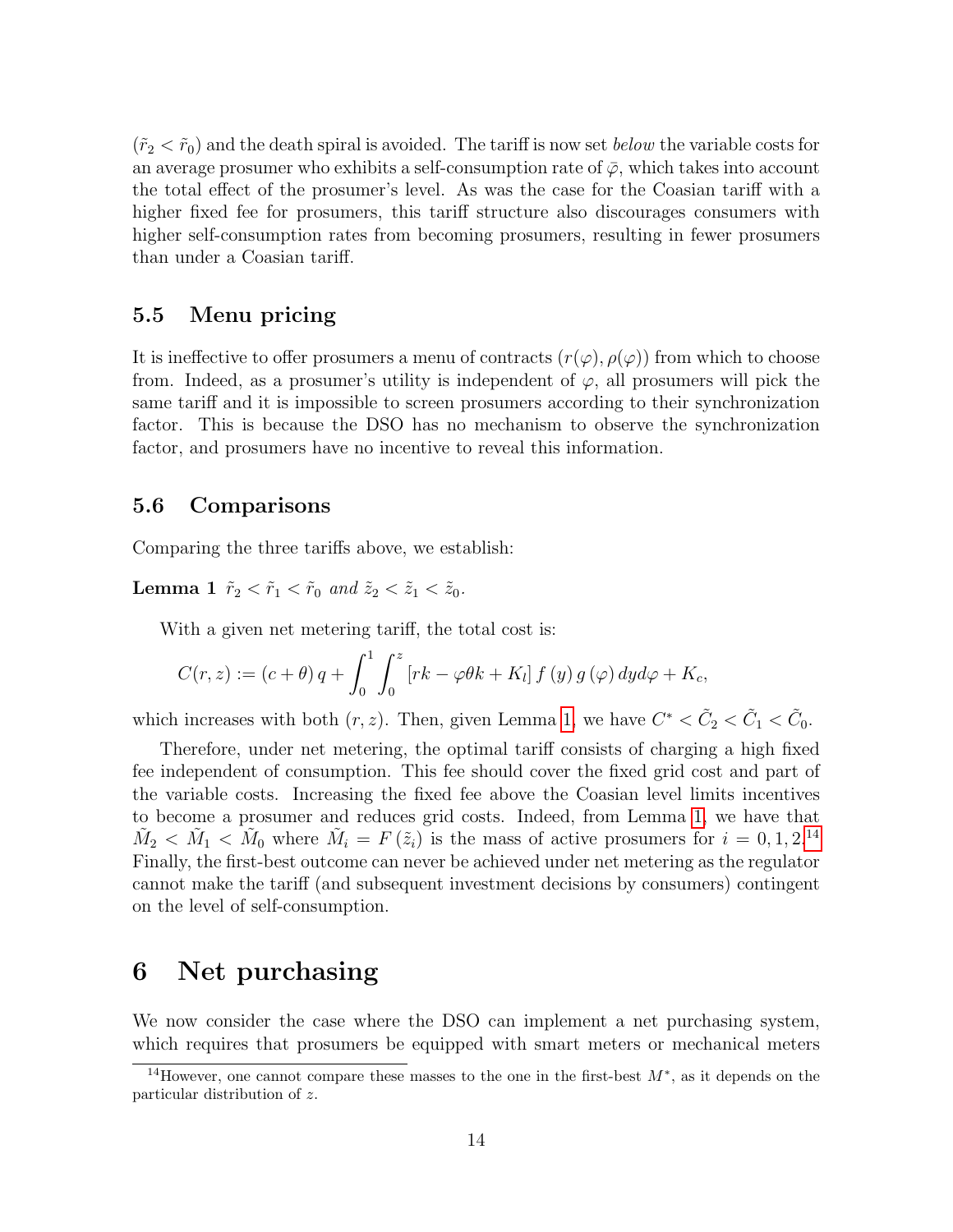$(\tilde{r}_2 < \tilde{r}_0)$  and the death spiral is avoided. The tariff is now set *below* the variable costs for an average prosumer who exhibits a self-consumption rate of  $\bar{\varphi}$ , which takes into account the total effect of the prosumer's level. As was the case for the Coasian tariff with a higher fixed fee for prosumers, this tariff structure also discourages consumers with higher self-consumption rates from becoming prosumers, resulting in fewer prosumers than under a Coasian tariff.

#### 5.5 Menu pricing

It is ineffective to offer prosumers a menu of contracts  $(r(\varphi), \rho(\varphi))$  from which to choose from. Indeed, as a prosumer's utility is independent of  $\varphi$ , all prosumers will pick the same tariff and it is impossible to screen prosumers according to their synchronization factor. This is because the DSO has no mechanism to observe the synchronization factor, and prosumers have no incentive to reveal this information.

#### 5.6 Comparisons

Comparing the three tariffs above, we establish:

**Lemma 1**  $\tilde{r}_2 < \tilde{r}_1 < \tilde{r}_0$  and  $\tilde{z}_2 < \tilde{z}_1 < \tilde{z}_0$ .

With a given net metering tariff, the total cost is:

$$
C(r, z) := (c + \theta) q + \int_0^1 \int_0^z [rk - \varphi \theta k + K_l] f(y) g(\varphi) dy d\varphi + K_c,
$$

which increases with both  $(r, z)$ . Then, given Lemma 1, we have  $C^* < \tilde{C}_2 < \tilde{C}_1 < \tilde{C}_0$ .

Therefore, under net metering, the optimal tariff consists of charging a high fixed fee independent of consumption. This fee should cover the fixed grid cost and part of the variable costs. Increasing the fixed fee above the Coasian level limits incentives to become a prosumer and reduces grid costs. Indeed, from Lemma 1, we have that  $\tilde{M}_2 < \tilde{M}_1 < \tilde{M}_0$  where  $\tilde{M}_i = F(\tilde{z}_i)$  is the mass of active prosumers for  $i = 0, 1, 2$ .<sup>14</sup> Finally, the first-best outcome can never be achieved under net metering as the regulator cannot make the tariff (and subsequent investment decisions by consumers) contingent on the level of self-consumption.

### 6 Net purchasing

We now consider the case where the DSO can implement a net purchasing system, which requires that prosumers be equipped with smart meters or mechanical meters

<sup>&</sup>lt;sup>14</sup>However, one cannot compare these masses to the one in the first-best  $M^*$ , as it depends on the particular distribution of z.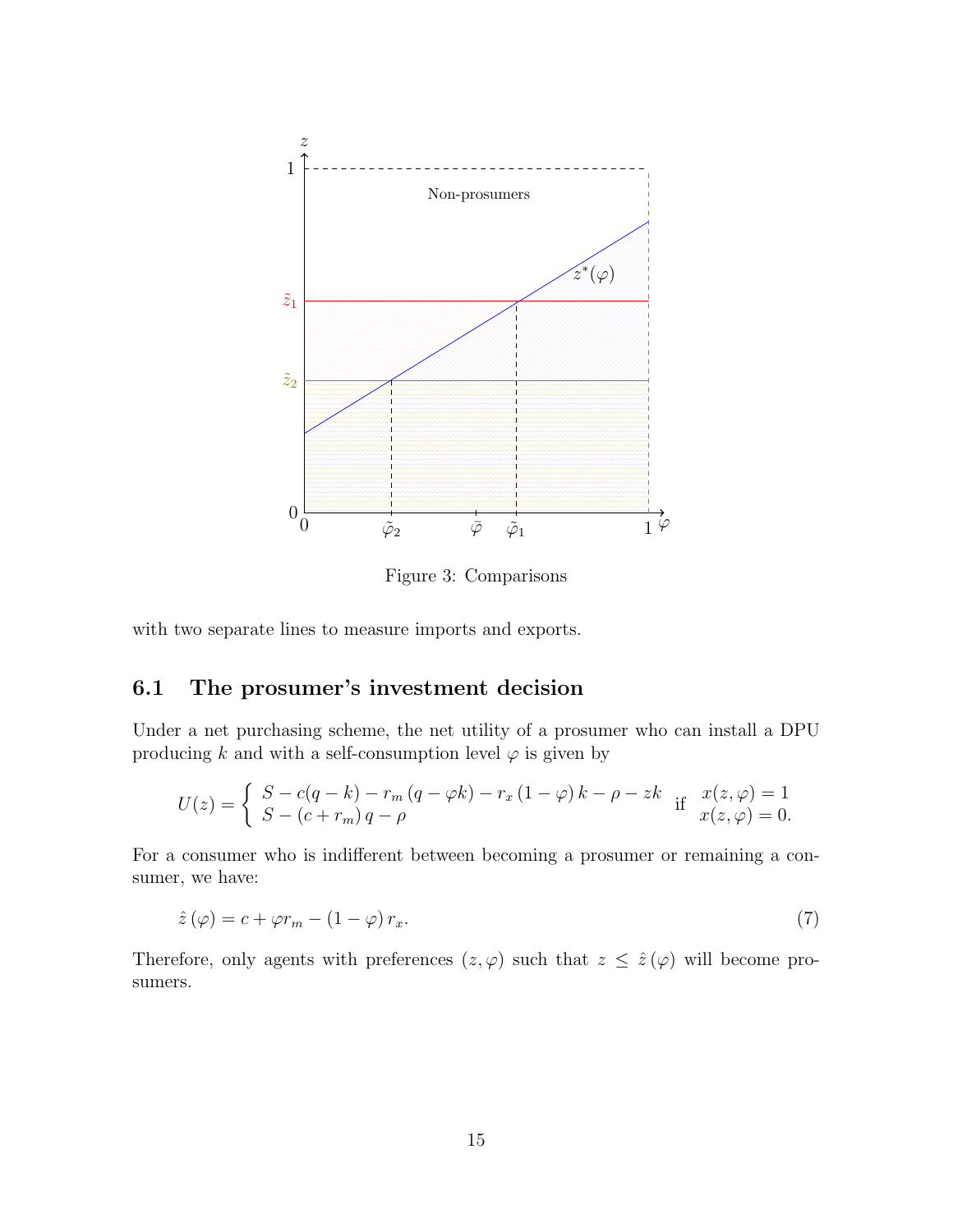

Figure 3: Comparisons

with two separate lines to measure imports and exports.

### 6.1 The prosumer's investment decision

Under a net purchasing scheme, the net utility of a prosumer who can install a DPU producing k and with a self-consumption level  $\varphi$  is given by

$$
U(z) = \begin{cases} S - c(q - k) - r_m (q - \varphi k) - r_x (1 - \varphi) k - \rho - zk & \text{if } x(z, \varphi) = 1 \\ S - (c + r_m) q - \rho & x(z, \varphi) = 0. \end{cases}
$$

For a consumer who is indifferent between becoming a prosumer or remaining a consumer, we have:

$$
\hat{z}(\varphi) = c + \varphi r_m - (1 - \varphi) r_x. \tag{7}
$$

Therefore, only agents with preferences  $(z, \varphi)$  such that  $z \leq \hat{z}(\varphi)$  will become prosumers.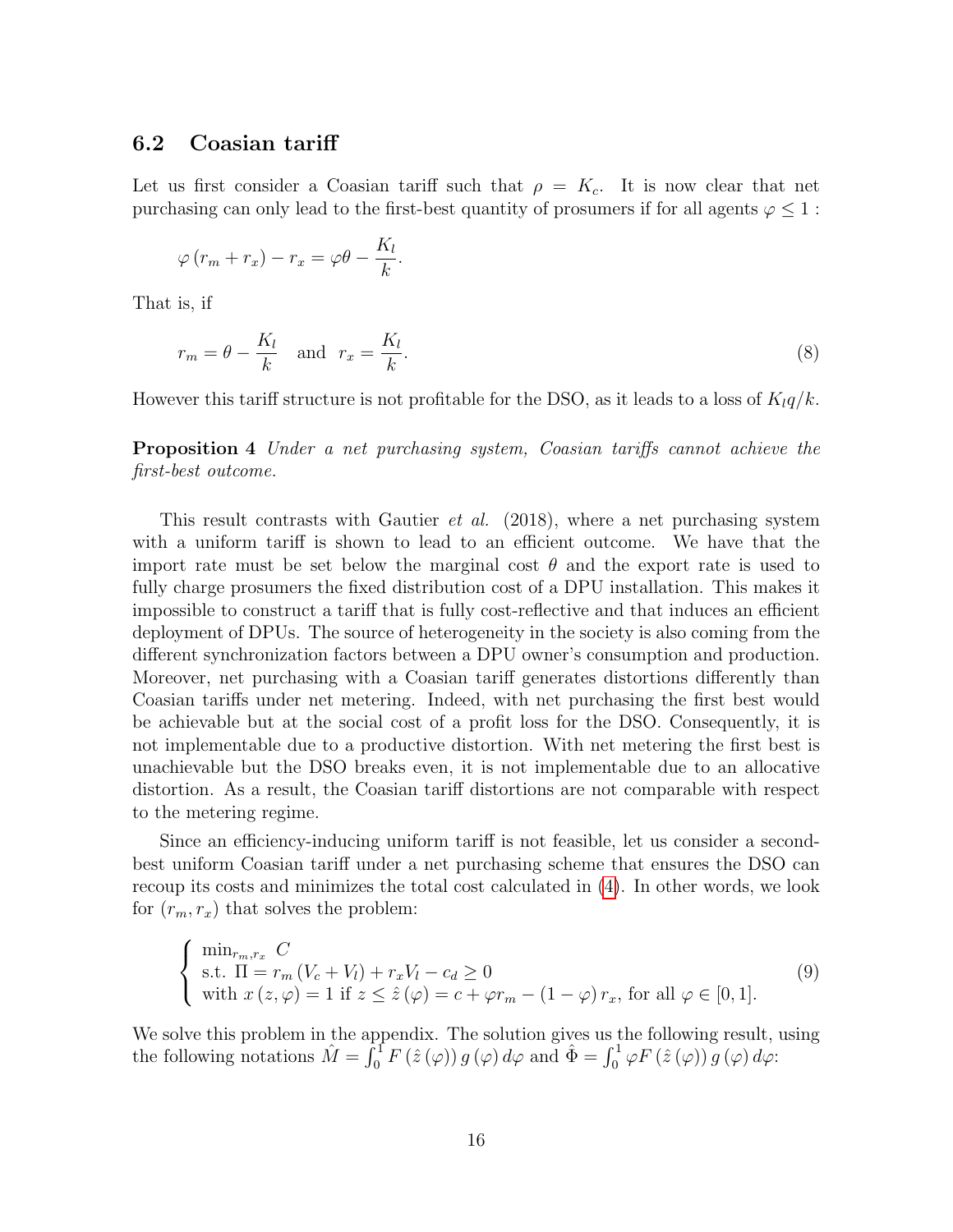#### 6.2 Coasian tariff

Let us first consider a Coasian tariff such that  $\rho = K_c$ . It is now clear that net purchasing can only lead to the first-best quantity of prosumers if for all agents  $\varphi \leq 1$ :

$$
\varphi\left(r_m+r_x\right)-r_x=\varphi\theta-\frac{K_l}{k}.
$$

That is, if

$$
r_m = \theta - \frac{K_l}{k} \quad \text{and} \quad r_x = \frac{K_l}{k}.\tag{8}
$$

However this tariff structure is not profitable for the DSO, as it leads to a loss of  $K_l q/k$ .

Proposition 4 Under a net purchasing system, Coasian tariffs cannot achieve the first-best outcome.

This result contrasts with Gautier *et al.* (2018), where a net purchasing system with a uniform tariff is shown to lead to an efficient outcome. We have that the import rate must be set below the marginal cost  $\theta$  and the export rate is used to fully charge prosumers the fixed distribution cost of a DPU installation. This makes it impossible to construct a tariff that is fully cost-reflective and that induces an efficient deployment of DPUs. The source of heterogeneity in the society is also coming from the different synchronization factors between a DPU owner's consumption and production. Moreover, net purchasing with a Coasian tariff generates distortions differently than Coasian tariffs under net metering. Indeed, with net purchasing the first best would be achievable but at the social cost of a profit loss for the DSO. Consequently, it is not implementable due to a productive distortion. With net metering the first best is unachievable but the DSO breaks even, it is not implementable due to an allocative distortion. As a result, the Coasian tariff distortions are not comparable with respect to the metering regime.

Since an efficiency-inducing uniform tariff is not feasible, let us consider a secondbest uniform Coasian tariff under a net purchasing scheme that ensures the DSO can recoup its costs and minimizes the total cost calculated in (4). In other words, we look for  $(r_m, r_x)$  that solves the problem:

$$
\begin{cases}\n\min_{r_m, r_x} C \\
\text{s.t. } \Pi = r_m \left( V_c + V_l \right) + r_x V_l - c_d \ge 0 \\
\text{with } x (z, \varphi) = 1 \text{ if } z \le \hat{z} (\varphi) = c + \varphi r_m - (1 - \varphi) r_x, \text{ for all } \varphi \in [0, 1].\n\end{cases}
$$
\n(9)

We solve this problem in the appendix. The solution gives us the following result, using the following notations  $\hat{M} = \int_0^1 F(\hat{z}(\varphi)) g(\varphi) d\varphi$  and  $\hat{\Phi} = \int_0^1 \varphi F(\hat{z}(\varphi)) g(\varphi) d\varphi$ :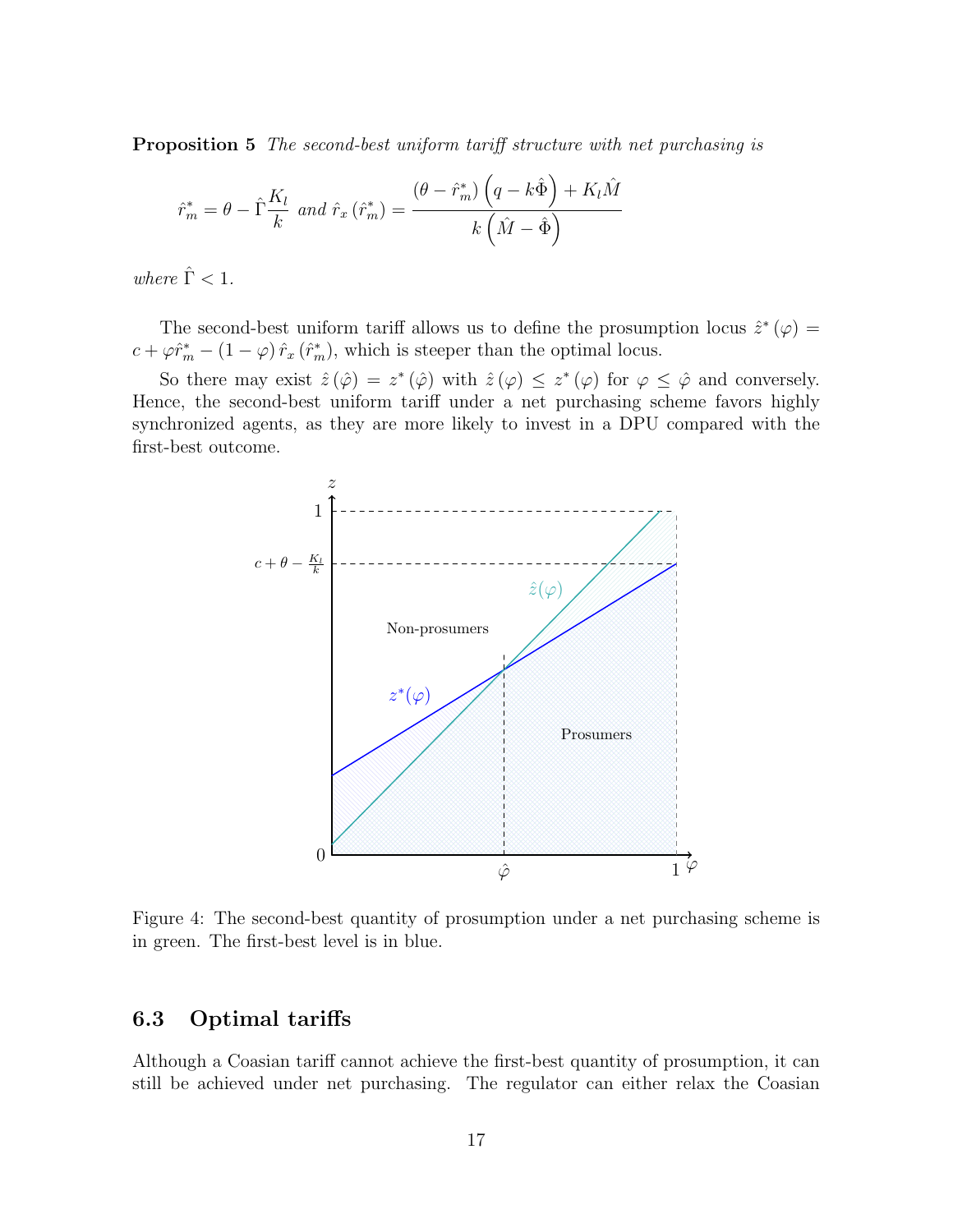Proposition 5 The second-best uniform tariff structure with net purchasing is

$$
\hat{r}_{m}^{*} = \theta - \hat{\Gamma}\frac{K_{l}}{k} \text{ and } \hat{r}_{x} \left(\hat{r}_{m}^{*}\right) = \frac{\left(\theta - \hat{r}_{m}^{*}\right)\left(q - k\hat{\Phi}\right) + K_{l}\hat{M}}{k\left(\hat{M} - \hat{\Phi}\right)}
$$

where  $\hat{\Gamma}$  < 1.

The second-best uniform tariff allows us to define the prosumption locus  $\hat{z}^*(\varphi) =$  $c + \varphi \hat{r}_m^* - (1 - \varphi) \hat{r}_x (\hat{r}_m^*),$  which is steeper than the optimal locus.

So there may exist  $\hat{z}(\hat{\varphi}) = z^*(\hat{\varphi})$  with  $\hat{z}(\varphi) \leq z^*(\varphi)$  for  $\varphi \leq \hat{\varphi}$  and conversely. Hence, the second-best uniform tariff under a net purchasing scheme favors highly synchronized agents, as they are more likely to invest in a DPU compared with the first-best outcome.



Figure 4: The second-best quantity of prosumption under a net purchasing scheme is in green. The first-best level is in blue.

#### 6.3 Optimal tariffs

Although a Coasian tariff cannot achieve the first-best quantity of prosumption, it can still be achieved under net purchasing. The regulator can either relax the Coasian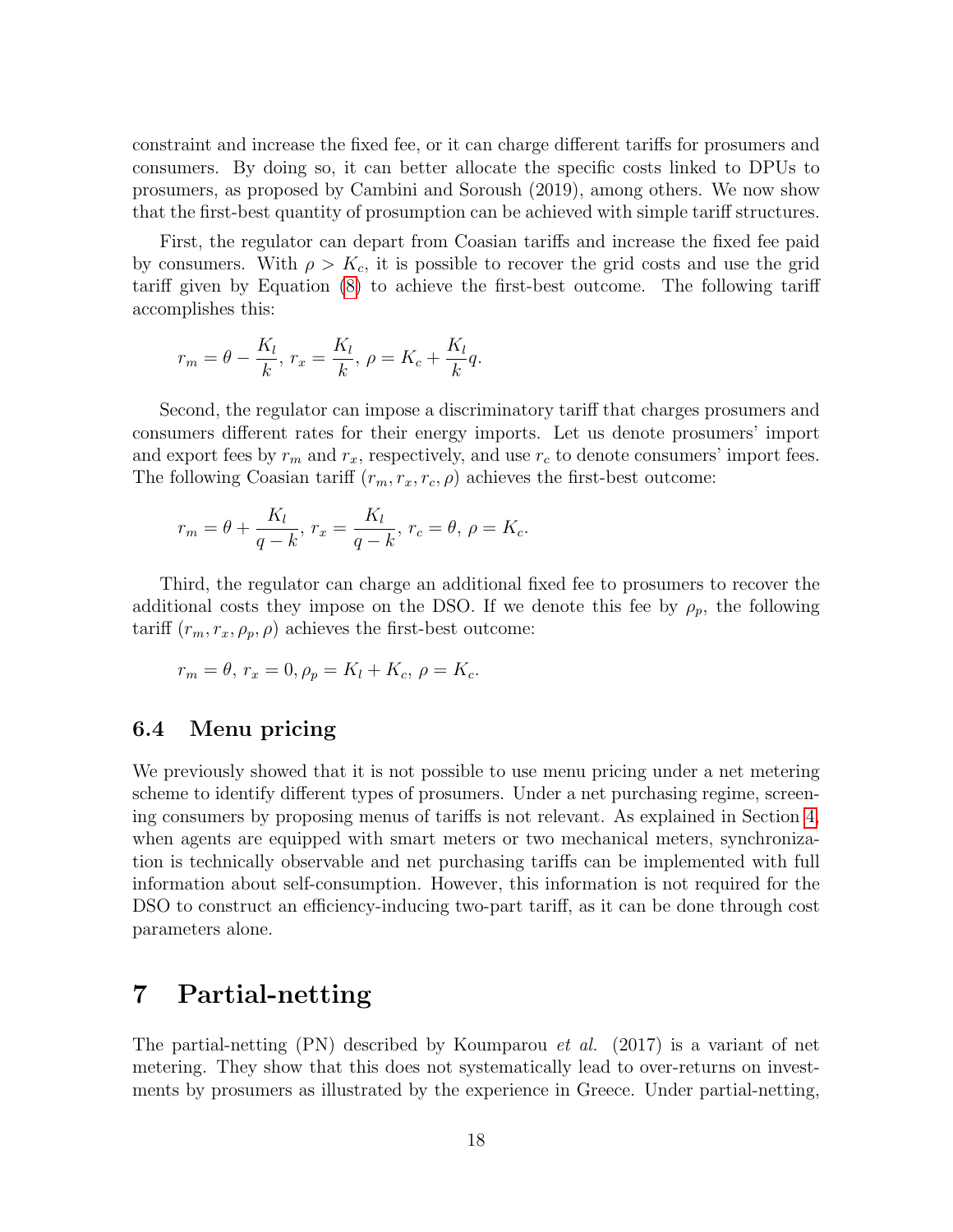constraint and increase the fixed fee, or it can charge different tariffs for prosumers and consumers. By doing so, it can better allocate the specific costs linked to DPUs to prosumers, as proposed by Cambini and Soroush (2019), among others. We now show that the first-best quantity of prosumption can be achieved with simple tariff structures.

First, the regulator can depart from Coasian tariffs and increase the fixed fee paid by consumers. With  $\rho > K_c$ , it is possible to recover the grid costs and use the grid tariff given by Equation (8) to achieve the first-best outcome. The following tariff accomplishes this:

$$
r_m = \theta - \frac{K_l}{k}, r_x = \frac{K_l}{k}, \rho = K_c + \frac{K_l}{k}q.
$$

Second, the regulator can impose a discriminatory tariff that charges prosumers and consumers different rates for their energy imports. Let us denote prosumers' import and export fees by  $r_m$  and  $r_x$ , respectively, and use  $r_c$  to denote consumers' import fees. The following Coasian tariff  $(r_m, r_x, r_c, \rho)$  achieves the first-best outcome:

$$
r_m = \theta + \frac{K_l}{q - k}, r_x = \frac{K_l}{q - k}, r_c = \theta, \rho = K_c.
$$

Third, the regulator can charge an additional fixed fee to prosumers to recover the additional costs they impose on the DSO. If we denote this fee by  $\rho_p$ , the following tariff  $(r_m, r_x, \rho_p, \rho)$  achieves the first-best outcome:

$$
r_m = \theta, r_x = 0, \rho_p = K_l + K_c, \rho = K_c.
$$

#### 6.4 Menu pricing

We previously showed that it is not possible to use menu pricing under a net metering scheme to identify different types of prosumers. Under a net purchasing regime, screening consumers by proposing menus of tariffs is not relevant. As explained in Section 4, when agents are equipped with smart meters or two mechanical meters, synchronization is technically observable and net purchasing tariffs can be implemented with full information about self-consumption. However, this information is not required for the DSO to construct an efficiency-inducing two-part tariff, as it can be done through cost parameters alone.

### 7 Partial-netting

The partial-netting (PN) described by Koumparou et al. (2017) is a variant of net metering. They show that this does not systematically lead to over-returns on investments by prosumers as illustrated by the experience in Greece. Under partial-netting,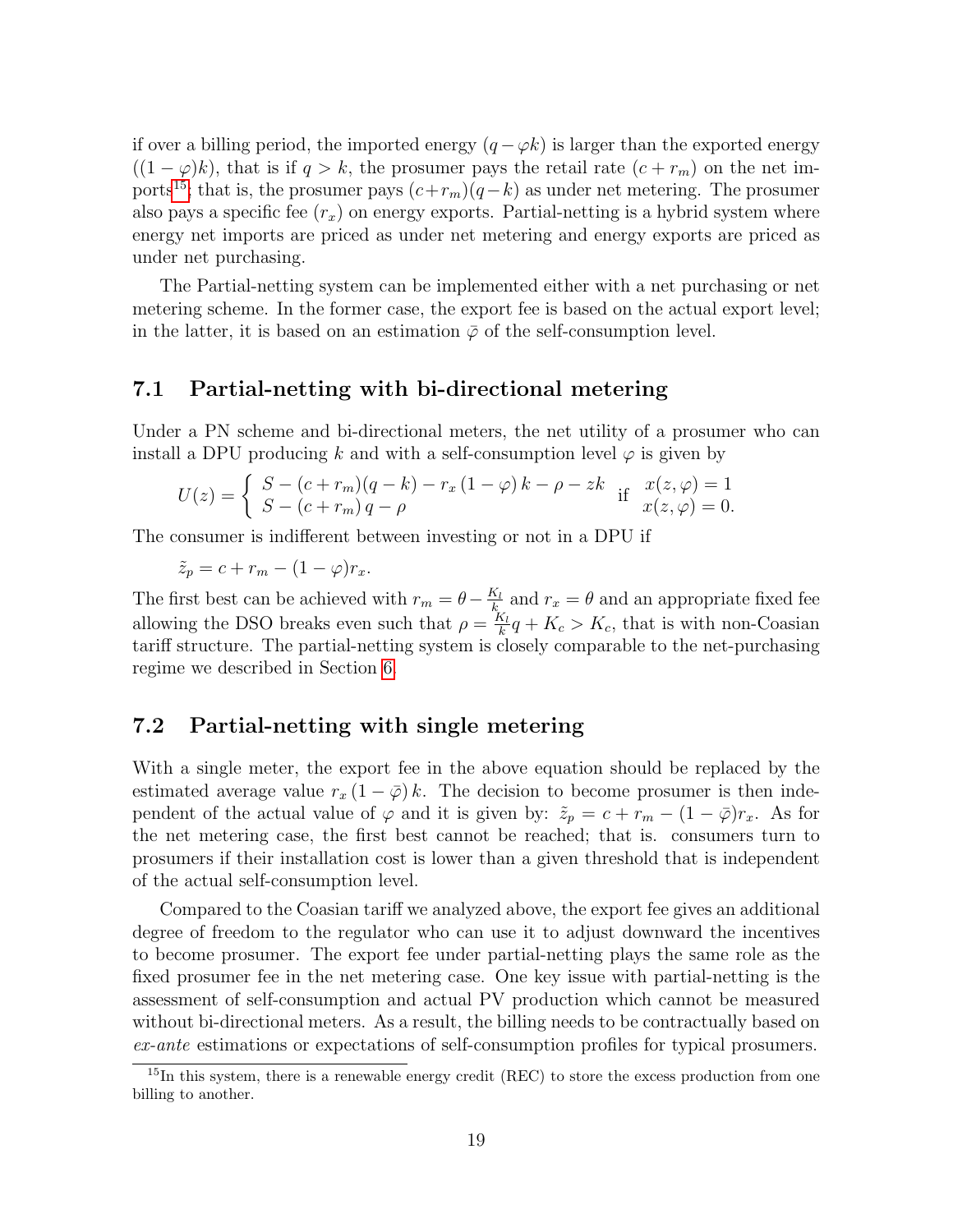if over a billing period, the imported energy  $(q - \varphi k)$  is larger than the exported energy  $((1 - \varphi)k)$ , that is if  $q > k$ , the prosumer pays the retail rate  $(c + r_m)$  on the net imports<sup>15</sup>; that is, the prosumer pays  $(c+r_m)(q-k)$  as under net metering. The prosumer also pays a specific fee  $(r_x)$  on energy exports. Partial-netting is a hybrid system where energy net imports are priced as under net metering and energy exports are priced as under net purchasing.

The Partial-netting system can be implemented either with a net purchasing or net metering scheme. In the former case, the export fee is based on the actual export level; in the latter, it is based on an estimation  $\bar{\varphi}$  of the self-consumption level.

#### 7.1 Partial-netting with bi-directional metering

Under a PN scheme and bi-directional meters, the net utility of a prosumer who can install a DPU producing k and with a self-consumption level  $\varphi$  is given by

$$
U(z) = \begin{cases} S - (c + r_m)(q - k) - r_x (1 - \varphi) k - \rho - zk & \text{if } x(z, \varphi) = 1 \\ S - (c + r_m) q - \rho & x(z, \varphi) = 0. \end{cases}
$$

The consumer is indifferent between investing or not in a DPU if

$$
\tilde{z}_p = c + r_m - (1 - \varphi)r_x.
$$

The first best can be achieved with  $r_m = \theta - \frac{K_l}{k}$  $\frac{k_l}{k_l}$  and  $r_x = \theta$  and an appropriate fixed fee allowing the DSO breaks even such that  $\rho = \frac{K_l}{k}$  $\frac{K_l}{k}q + K_c > K_c$ , that is with non-Coasian tariff structure. The partial-netting system is closely comparable to the net-purchasing regime we described in Section 6.

#### 7.2 Partial-netting with single metering

With a single meter, the export fee in the above equation should be replaced by the estimated average value  $r_x(1-\overline{\varphi})k$ . The decision to become prosumer is then independent of the actual value of  $\varphi$  and it is given by:  $\tilde{z}_p = c + r_m - (1 - \overline{\varphi})r_x$ . As for the net metering case, the first best cannot be reached; that is. consumers turn to prosumers if their installation cost is lower than a given threshold that is independent of the actual self-consumption level.

Compared to the Coasian tariff we analyzed above, the export fee gives an additional degree of freedom to the regulator who can use it to adjust downward the incentives to become prosumer. The export fee under partial-netting plays the same role as the fixed prosumer fee in the net metering case. One key issue with partial-netting is the assessment of self-consumption and actual PV production which cannot be measured without bi-directional meters. As a result, the billing needs to be contractually based on ex-ante estimations or expectations of self-consumption profiles for typical prosumers.

<sup>&</sup>lt;sup>15</sup>In this system, there is a renewable energy credit (REC) to store the excess production from one billing to another.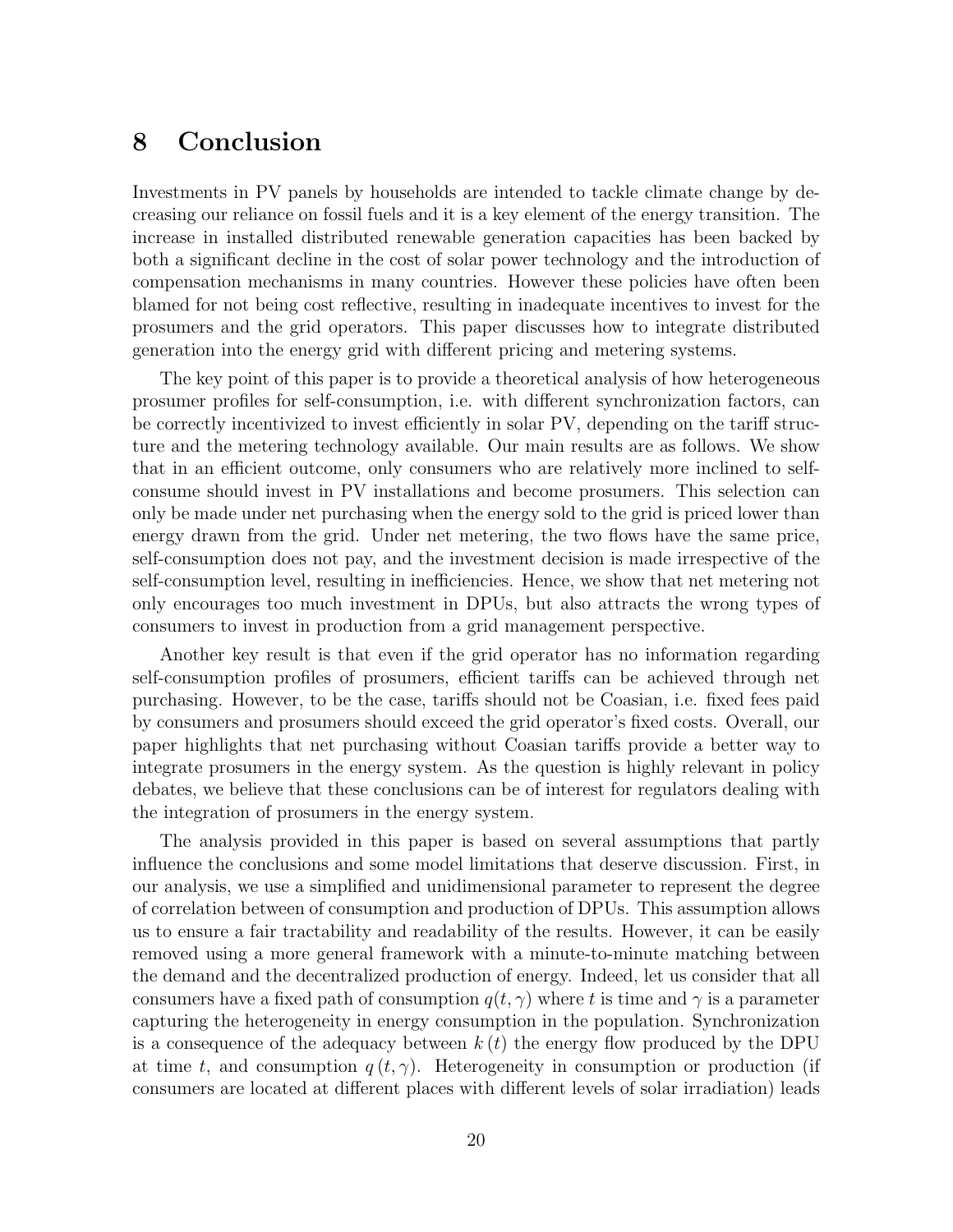### 8 Conclusion

Investments in PV panels by households are intended to tackle climate change by decreasing our reliance on fossil fuels and it is a key element of the energy transition. The increase in installed distributed renewable generation capacities has been backed by both a significant decline in the cost of solar power technology and the introduction of compensation mechanisms in many countries. However these policies have often been blamed for not being cost reflective, resulting in inadequate incentives to invest for the prosumers and the grid operators. This paper discusses how to integrate distributed generation into the energy grid with different pricing and metering systems.

The key point of this paper is to provide a theoretical analysis of how heterogeneous prosumer profiles for self-consumption, i.e. with different synchronization factors, can be correctly incentivized to invest efficiently in solar PV, depending on the tariff structure and the metering technology available. Our main results are as follows. We show that in an efficient outcome, only consumers who are relatively more inclined to selfconsume should invest in PV installations and become prosumers. This selection can only be made under net purchasing when the energy sold to the grid is priced lower than energy drawn from the grid. Under net metering, the two flows have the same price, self-consumption does not pay, and the investment decision is made irrespective of the self-consumption level, resulting in inefficiencies. Hence, we show that net metering not only encourages too much investment in DPUs, but also attracts the wrong types of consumers to invest in production from a grid management perspective.

Another key result is that even if the grid operator has no information regarding self-consumption profiles of prosumers, efficient tariffs can be achieved through net purchasing. However, to be the case, tariffs should not be Coasian, i.e. fixed fees paid by consumers and prosumers should exceed the grid operator's fixed costs. Overall, our paper highlights that net purchasing without Coasian tariffs provide a better way to integrate prosumers in the energy system. As the question is highly relevant in policy debates, we believe that these conclusions can be of interest for regulators dealing with the integration of prosumers in the energy system.

The analysis provided in this paper is based on several assumptions that partly influence the conclusions and some model limitations that deserve discussion. First, in our analysis, we use a simplified and unidimensional parameter to represent the degree of correlation between of consumption and production of DPUs. This assumption allows us to ensure a fair tractability and readability of the results. However, it can be easily removed using a more general framework with a minute-to-minute matching between the demand and the decentralized production of energy. Indeed, let us consider that all consumers have a fixed path of consumption  $q(t, \gamma)$  where t is time and  $\gamma$  is a parameter capturing the heterogeneity in energy consumption in the population. Synchronization is a consequence of the adequacy between  $k(t)$  the energy flow produced by the DPU at time t, and consumption  $q(t, \gamma)$ . Heterogeneity in consumption or production (if consumers are located at different places with different levels of solar irradiation) leads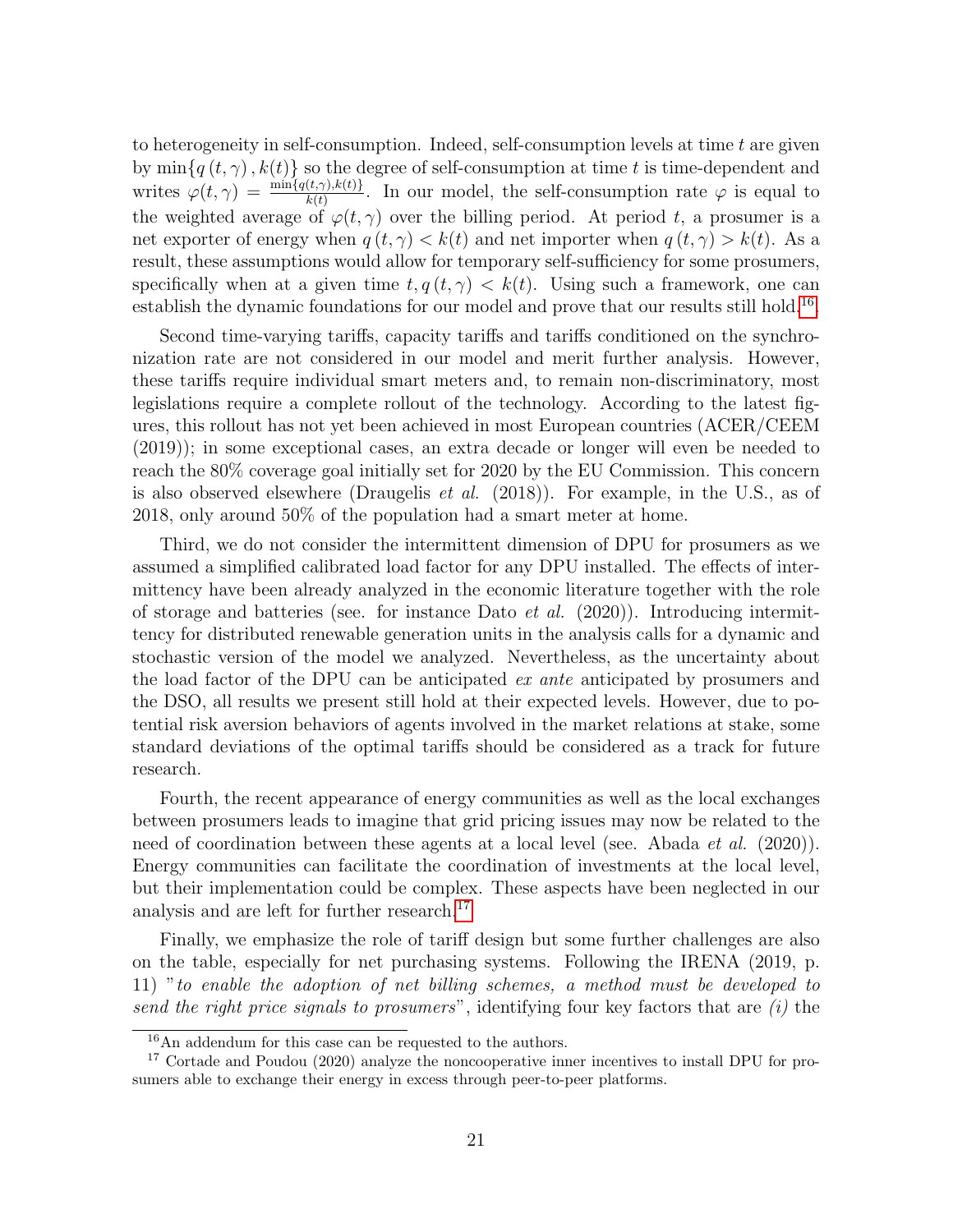to heterogeneity in self-consumption. Indeed, self-consumption levels at time  $t$  are given by  $\min\{q(t,\gamma),k(t)\}\$  so the degree of self-consumption at time t is time-dependent and writes  $\varphi(t,\gamma) = \frac{\min\{q(t,\gamma),k(t)\}}{k(t)}$ . In our model, the self-consumption rate  $\varphi$  is equal to the weighted average of  $\varphi(t, \gamma)$  over the billing period. At period t, a prosumer is a net exporter of energy when  $q(t, \gamma) < k(t)$  and net importer when  $q(t, \gamma) > k(t)$ . As a result, these assumptions would allow for temporary self-sufficiency for some prosumers, specifically when at a given time  $t, q(t, \gamma) < k(t)$ . Using such a framework, one can establish the dynamic foundations for our model and prove that our results still hold.<sup>16</sup>.

Second time-varying tariffs, capacity tariffs and tariffs conditioned on the synchronization rate are not considered in our model and merit further analysis. However, these tariffs require individual smart meters and, to remain non-discriminatory, most legislations require a complete rollout of the technology. According to the latest figures, this rollout has not yet been achieved in most European countries (ACER/CEEM (2019)); in some exceptional cases, an extra decade or longer will even be needed to reach the 80% coverage goal initially set for 2020 by the EU Commission. This concern is also observed elsewhere (Draugelis et al. (2018)). For example, in the U.S., as of 2018, only around 50% of the population had a smart meter at home.

Third, we do not consider the intermittent dimension of DPU for prosumers as we assumed a simplified calibrated load factor for any DPU installed. The effects of intermittency have been already analyzed in the economic literature together with the role of storage and batteries (see. for instance Dato *et al.*  $(2020)$ ). Introducing intermittency for distributed renewable generation units in the analysis calls for a dynamic and stochastic version of the model we analyzed. Nevertheless, as the uncertainty about the load factor of the DPU can be anticipated ex ante anticipated by prosumers and the DSO, all results we present still hold at their expected levels. However, due to potential risk aversion behaviors of agents involved in the market relations at stake, some standard deviations of the optimal tariffs should be considered as a track for future research.

Fourth, the recent appearance of energy communities as well as the local exchanges between prosumers leads to imagine that grid pricing issues may now be related to the need of coordination between these agents at a local level (see. Abada *et al.* (2020)). Energy communities can facilitate the coordination of investments at the local level, but their implementation could be complex. These aspects have been neglected in our analysis and are left for further research.17

Finally, we emphasize the role of tariff design but some further challenges are also on the table, especially for net purchasing systems. Following the IRENA (2019, p. 11) "to enable the adoption of net billing schemes, a method must be developed to send the right price signals to prosumers", identifying four key factors that are  $(i)$  the

<sup>16</sup>An addendum for this case can be requested to the authors.

<sup>&</sup>lt;sup>17</sup> Cortade and Poudou (2020) analyze the noncooperative inner incentives to install DPU for prosumers able to exchange their energy in excess through peer-to-peer platforms.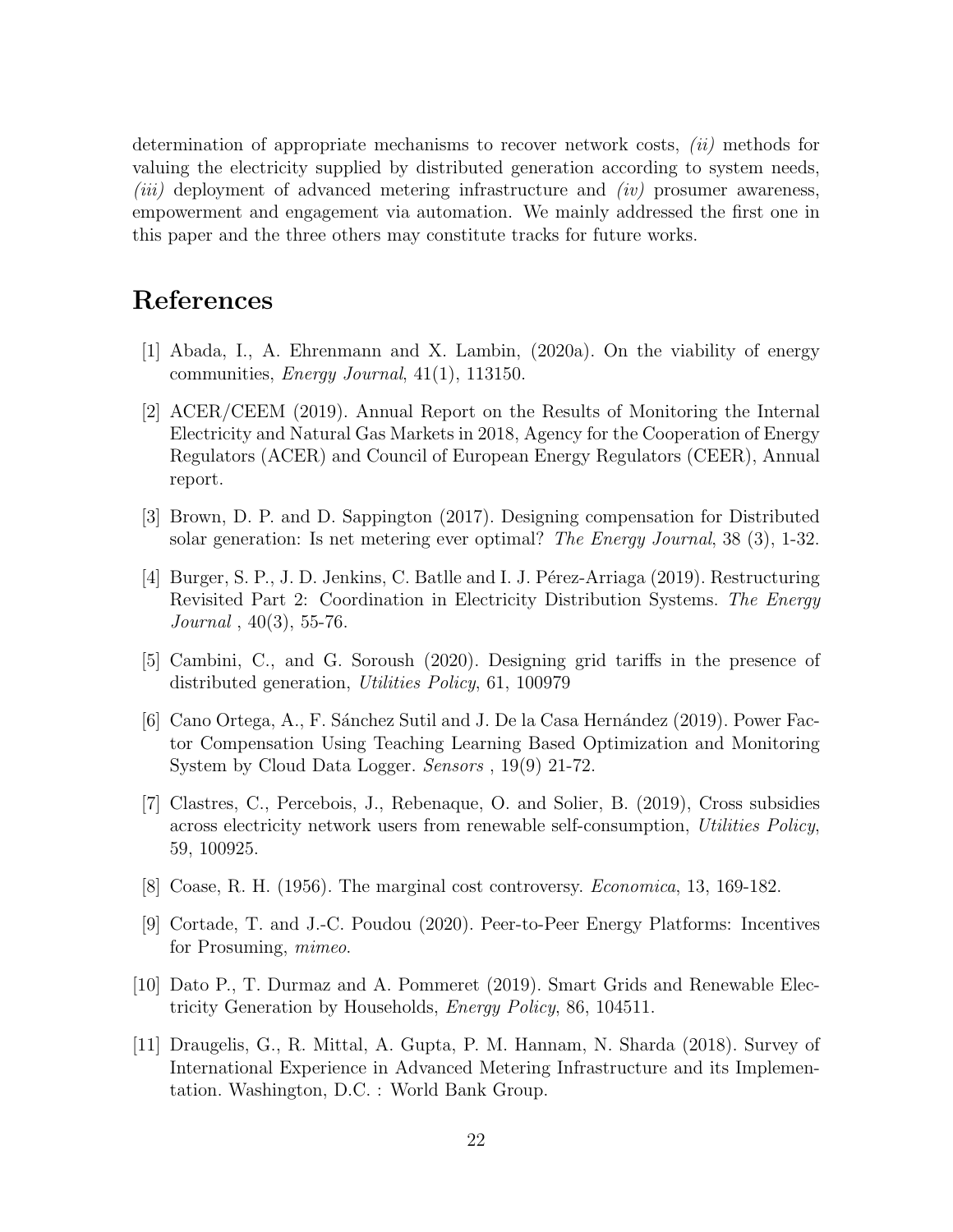determination of appropriate mechanisms to recover network costs, (ii) methods for valuing the electricity supplied by distributed generation according to system needs, (iii) deployment of advanced metering infrastructure and (iv) prosumer awareness, empowerment and engagement via automation. We mainly addressed the first one in this paper and the three others may constitute tracks for future works.

### References

- [1] Abada, I., A. Ehrenmann and X. Lambin, (2020a). On the viability of energy communities, *Energy Journal*,  $41(1)$ ,  $113150$ .
- [2] ACER/CEEM (2019). Annual Report on the Results of Monitoring the Internal Electricity and Natural Gas Markets in 2018, Agency for the Cooperation of Energy Regulators (ACER) and Council of European Energy Regulators (CEER), Annual report.
- [3] Brown, D. P. and D. Sappington (2017). Designing compensation for Distributed solar generation: Is net metering ever optimal? The Energy Journal, 38 (3), 1-32.
- [4] Burger, S. P., J. D. Jenkins, C. Batlle and I. J. Pérez-Arriaga (2019). Restructuring Revisited Part 2: Coordination in Electricity Distribution Systems. The Energy  $Journal, 40(3), 55-76.$
- [5] Cambini, C., and G. Soroush (2020). Designing grid tariffs in the presence of distributed generation, Utilities Policy, 61, 100979
- [6] Cano Ortega, A., F. Sánchez Sutil and J. De la Casa Hernández (2019). Power Factor Compensation Using Teaching Learning Based Optimization and Monitoring System by Cloud Data Logger. Sensors , 19(9) 21-72.
- [7] Clastres, C., Percebois, J., Rebenaque, O. and Solier, B. (2019), Cross subsidies across electricity network users from renewable self-consumption, Utilities Policy, 59, 100925.
- [8] Coase, R. H. (1956). The marginal cost controversy. Economica, 13, 169-182.
- [9] Cortade, T. and J.-C. Poudou (2020). Peer-to-Peer Energy Platforms: Incentives for Prosuming, mimeo.
- [10] Dato P., T. Durmaz and A. Pommeret (2019). Smart Grids and Renewable Electricity Generation by Households, Energy Policy, 86, 104511.
- [11] Draugelis, G., R. Mittal, A. Gupta, P. M. Hannam, N. Sharda (2018). Survey of International Experience in Advanced Metering Infrastructure and its Implementation. Washington, D.C. : World Bank Group.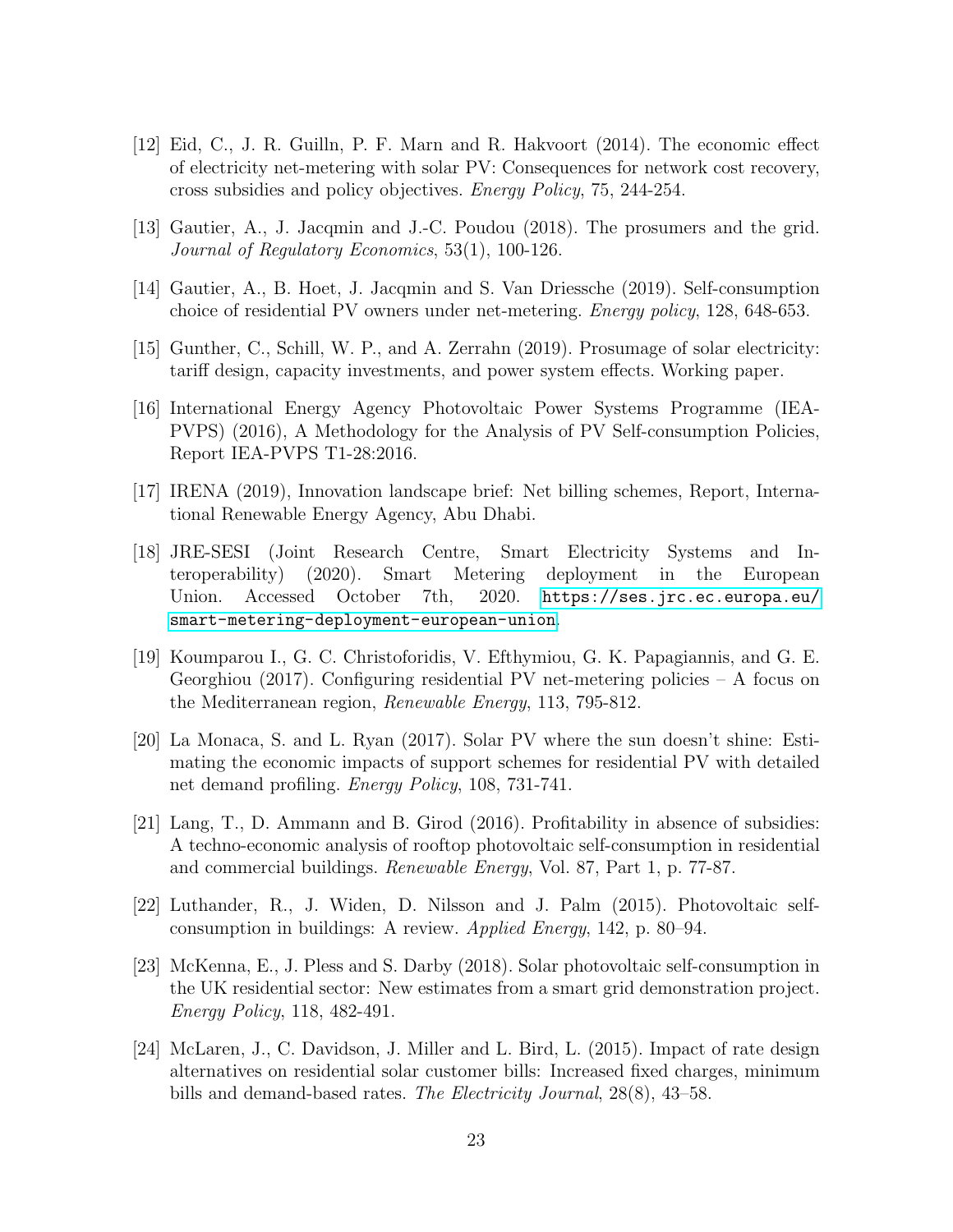- [12] Eid, C., J. R. Guilln, P. F. Marn and R. Hakvoort (2014). The economic effect of electricity net-metering with solar PV: Consequences for network cost recovery, cross subsidies and policy objectives. Energy Policy, 75, 244-254.
- [13] Gautier, A., J. Jacqmin and J.-C. Poudou (2018). The prosumers and the grid. Journal of Regulatory Economics, 53(1), 100-126.
- [14] Gautier, A., B. Hoet, J. Jacqmin and S. Van Driessche (2019). Self-consumption choice of residential PV owners under net-metering. Energy policy, 128, 648-653.
- [15] Gunther, C., Schill, W. P., and A. Zerrahn (2019). Prosumage of solar electricity: tariff design, capacity investments, and power system effects. Working paper.
- [16] International Energy Agency Photovoltaic Power Systems Programme (IEA-PVPS) (2016), A Methodology for the Analysis of PV Self-consumption Policies, Report IEA-PVPS T1-28:2016.
- [17] IRENA (2019), Innovation landscape brief: Net billing schemes, Report, International Renewable Energy Agency, Abu Dhabi.
- [18] JRE-SESI (Joint Research Centre, Smart Electricity Systems and Interoperability) (2020). Smart Metering deployment in the European Union. Accessed October 7th, 2020. [https://ses.jrc.ec.europa.eu/](https://ses.jrc.ec.europa.eu/smart-metering-deployment-european-union) [smart-metering-deployment-european-union](https://ses.jrc.ec.europa.eu/smart-metering-deployment-european-union).
- [19] Koumparou I., G. C. Christoforidis, V. Efthymiou, G. K. Papagiannis, and G. E. Georghiou (2017). Configuring residential PV net-metering policies  $- A$  focus on the Mediterranean region, Renewable Energy, 113, 795-812.
- [20] La Monaca, S. and L. Ryan (2017). Solar PV where the sun doesn't shine: Estimating the economic impacts of support schemes for residential PV with detailed net demand profiling. Energy Policy, 108, 731-741.
- [21] Lang, T., D. Ammann and B. Girod (2016). Profitability in absence of subsidies: A techno-economic analysis of rooftop photovoltaic self-consumption in residential and commercial buildings. Renewable Energy, Vol. 87, Part 1, p. 77-87.
- [22] Luthander, R., J. Widen, D. Nilsson and J. Palm (2015). Photovoltaic selfconsumption in buildings: A review. Applied Energy, 142, p. 80–94.
- [23] McKenna, E., J. Pless and S. Darby (2018). Solar photovoltaic self-consumption in the UK residential sector: New estimates from a smart grid demonstration project. Energy Policy, 118, 482-491.
- [24] McLaren, J., C. Davidson, J. Miller and L. Bird, L. (2015). Impact of rate design alternatives on residential solar customer bills: Increased fixed charges, minimum bills and demand-based rates. The Electricity Journal, 28(8), 43–58.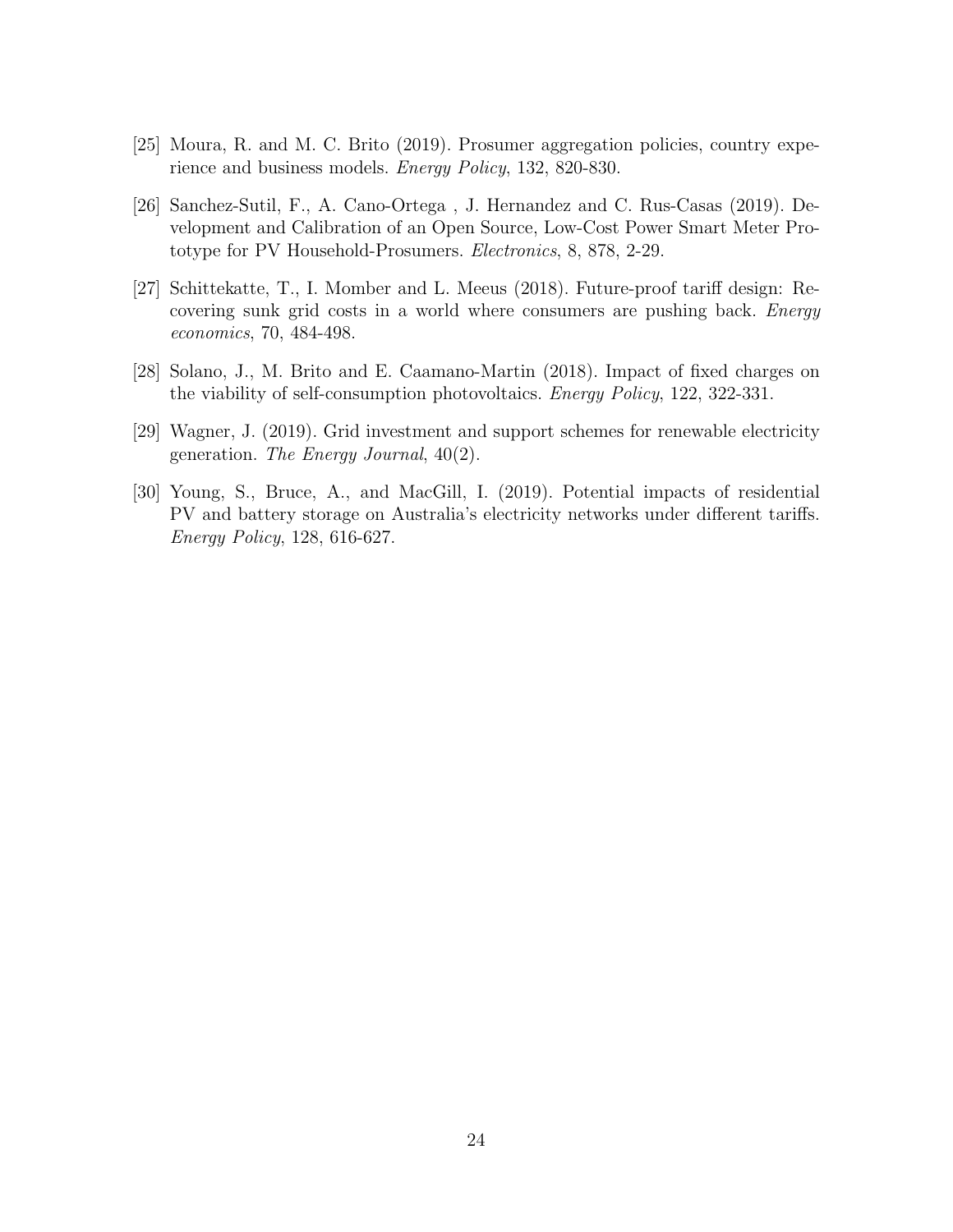- [25] Moura, R. and M. C. Brito (2019). Prosumer aggregation policies, country experience and business models. Energy Policy, 132, 820-830.
- [26] Sanchez-Sutil, F., A. Cano-Ortega , J. Hernandez and C. Rus-Casas (2019). Development and Calibration of an Open Source, Low-Cost Power Smart Meter Prototype for PV Household-Prosumers. Electronics, 8, 878, 2-29.
- [27] Schittekatte, T., I. Momber and L. Meeus (2018). Future-proof tariff design: Recovering sunk grid costs in a world where consumers are pushing back. Energy economics, 70, 484-498.
- [28] Solano, J., M. Brito and E. Caamano-Martin (2018). Impact of fixed charges on the viability of self-consumption photovoltaics. Energy Policy, 122, 322-331.
- [29] Wagner, J. (2019). Grid investment and support schemes for renewable electricity generation. The Energy Journal, 40(2).
- [30] Young, S., Bruce, A., and MacGill, I. (2019). Potential impacts of residential PV and battery storage on Australia's electricity networks under different tariffs. Energy Policy, 128, 616-627.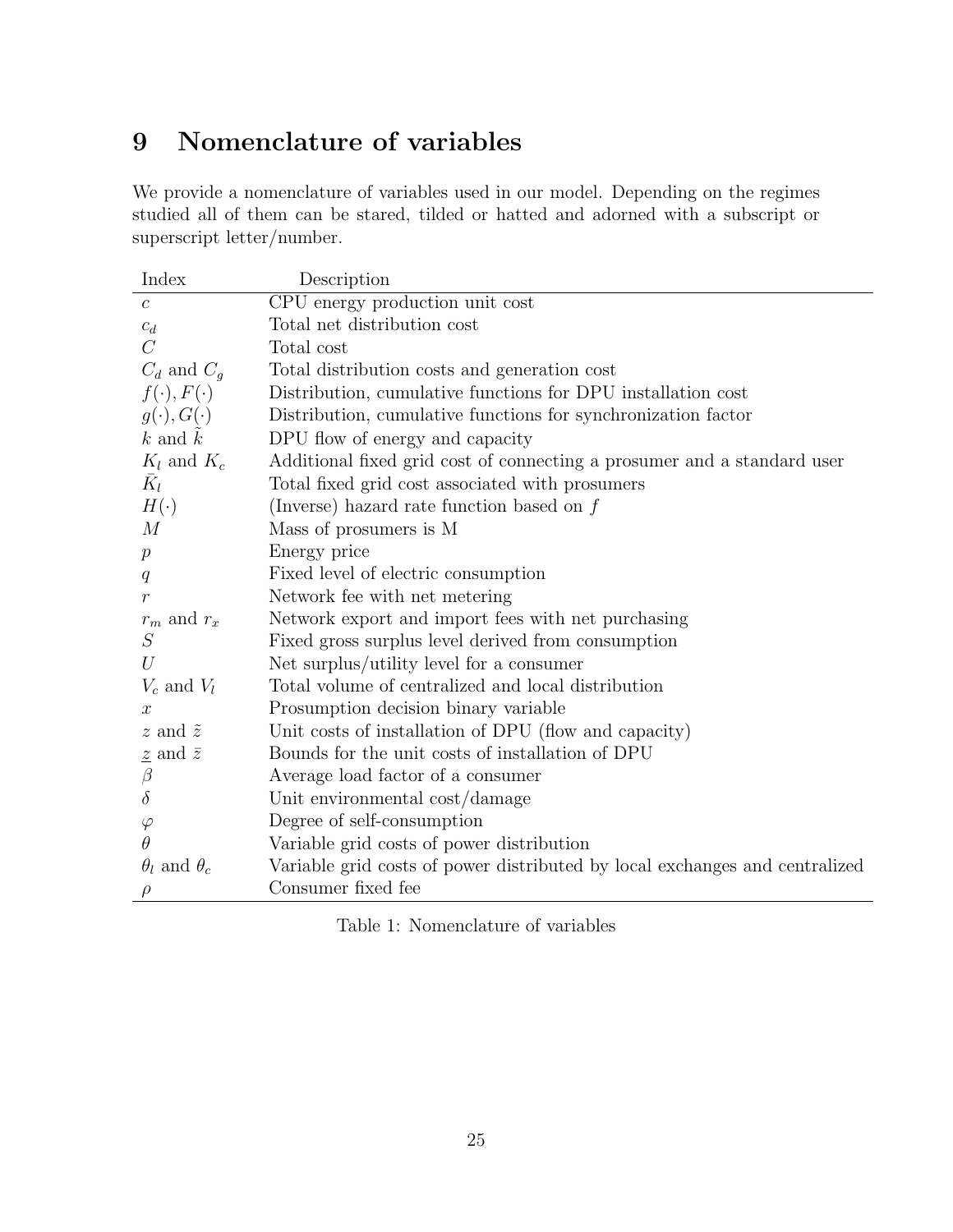# 9 Nomenclature of variables

We provide a nomenclature of variables used in our model. Depending on the regimes studied all of them can be stared, tilded or hatted and adorned with a subscript or superscript letter/number.

| Index                         | Description                                                                 |
|-------------------------------|-----------------------------------------------------------------------------|
| $\boldsymbol{c}$              | CPU energy production unit cost                                             |
| $\mathfrak{C}_d$              | Total net distribution cost                                                 |
| $\overline{C}$                | Total cost                                                                  |
| $C_d$ and $C_g$               | Total distribution costs and generation cost                                |
| $f(\cdot), F(\cdot)$          | Distribution, cumulative functions for DPU installation cost                |
| $g(\cdot), G(\cdot)$          | Distribution, cumulative functions for synchronization factor               |
| $k$ and $k$                   | DPU flow of energy and capacity                                             |
| $K_l$ and $K_c$               | Additional fixed grid cost of connecting a prosumer and a standard user     |
| $K_l$                         | Total fixed grid cost associated with prosumers                             |
| $H(\cdot)$                    | (Inverse) hazard rate function based on $f$                                 |
| M                             | Mass of prosumers is M                                                      |
| $\mathcal{p}$                 | Energy price                                                                |
| q                             | Fixed level of electric consumption                                         |
| $\mathcal{r}$                 | Network fee with net metering                                               |
| $r_m$ and $r_x$               | Network export and import fees with net purchasing                          |
| S                             | Fixed gross surplus level derived from consumption                          |
| U                             | Net surplus/utility level for a consumer                                    |
| $V_c$ and $V_l$               | Total volume of centralized and local distribution                          |
| $\boldsymbol{x}$              | Prosumption decision binary variable                                        |
| $z$ and $\tilde{z}$           | Unit costs of installation of DPU (flow and capacity)                       |
| $\underline{z}$ and $\bar{z}$ | Bounds for the unit costs of installation of DPU                            |
| $\beta$                       | Average load factor of a consumer                                           |
| $\delta$                      | Unit environmental cost/damage                                              |
| $\varphi$                     | Degree of self-consumption                                                  |
| $\theta$                      | Variable grid costs of power distribution                                   |
| $\theta_l$ and $\theta_c$     | Variable grid costs of power distributed by local exchanges and centralized |
|                               | Consumer fixed fee                                                          |

Table 1: Nomenclature of variables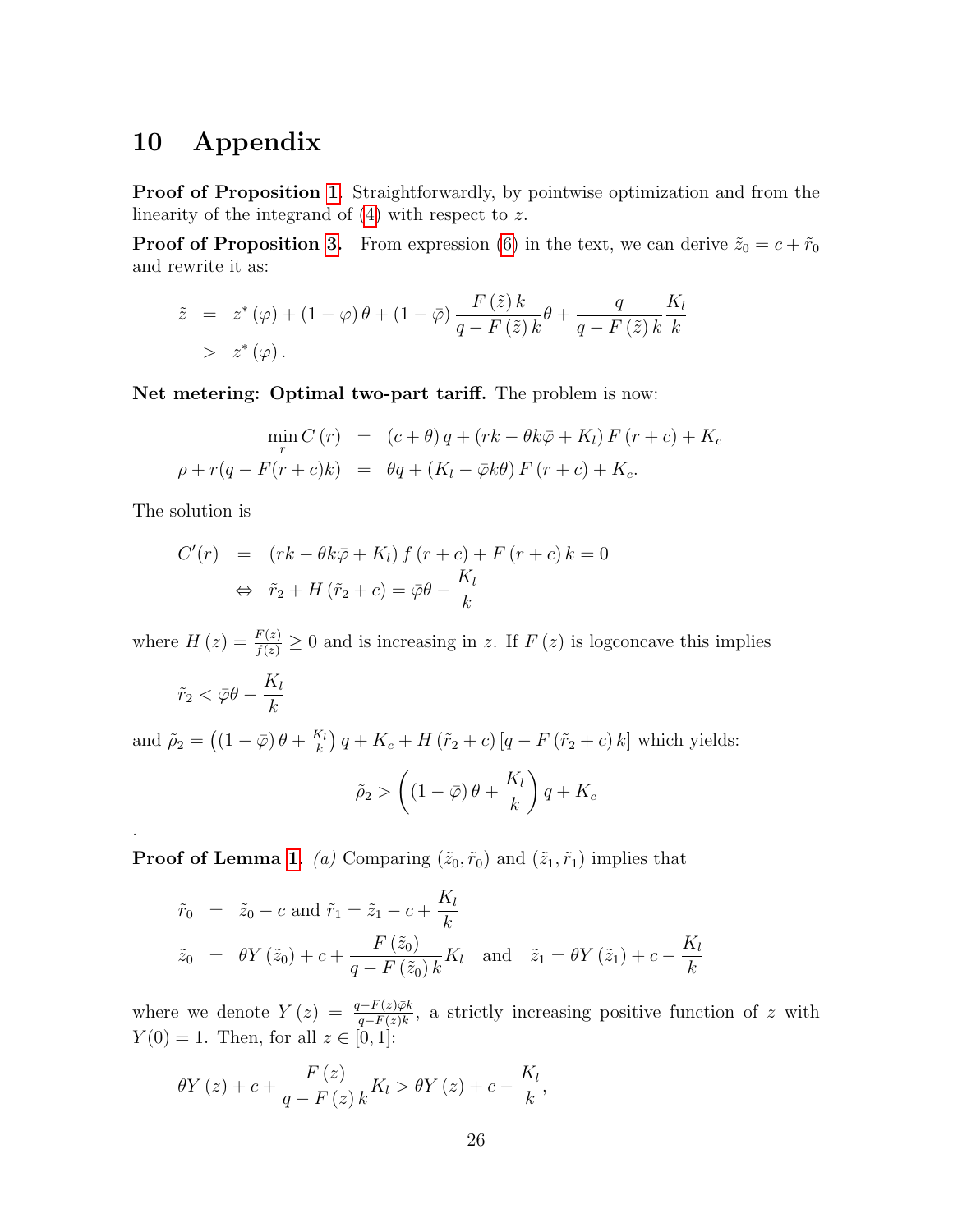### 10 Appendix

Proof of Proposition 1. Straightforwardly, by pointwise optimization and from the linearity of the integrand of  $(4)$  with respect to z.

**Proof of Proposition 3.** From expression (6) in the text, we can derive  $\tilde{z}_0 = c + \tilde{r}_0$ and rewrite it as:

$$
\tilde{z} = z^*(\varphi) + (1 - \varphi)\theta + (1 - \bar{\varphi})\frac{F(\tilde{z})k}{q - F(\tilde{z})k}\theta + \frac{q}{q - F(\tilde{z})k}\frac{K_l}{k}
$$
  
>  $z^*(\varphi)$ .

Net metering: Optimal two-part tariff. The problem is now:

$$
\min_{r} C(r) = (c + \theta) q + (rk - \theta k \bar{\varphi} + K_l) F(r + c) + K_c
$$
  

$$
\rho + r(q - F(r + c)k) = \theta q + (K_l - \bar{\varphi}k\theta) F(r + c) + K_c.
$$

The solution is

.

$$
C'(r) = (rk - \theta k\bar{\varphi} + K_l) f (r + c) + F (r + c) k = 0
$$
  

$$
\Leftrightarrow \tilde{r}_2 + H (\tilde{r}_2 + c) = \bar{\varphi}\theta - \frac{K_l}{k}
$$

where  $H(z) = \frac{F(z)}{f(z)} \ge 0$  and is increasing in z. If  $F(z)$  is logconcave this implies

$$
\tilde{r}_2 < \bar{\varphi}\theta - \frac{K_l}{k}
$$

and  $\tilde{\rho}_2 = ((1 - \bar{\varphi}) \theta + \frac{K_l}{k})$  $\frac{K_l}{k}$ )  $q + K_c + H(\tilde{r}_2 + c) [q - F(\tilde{r}_2 + c) k]$  which yields:

$$
\tilde{\rho}_2 > \left( \left( 1 - \bar{\varphi} \right) \theta + \frac{K_l}{k} \right) q + K_c
$$

**Proof of Lemma 1.** (a) Comparing  $(\tilde{z}_0, \tilde{r}_0)$  and  $(\tilde{z}_1, \tilde{r}_1)$  implies that

$$
\tilde{r}_0 = \tilde{z}_0 - c
$$
 and  $\tilde{r}_1 = \tilde{z}_1 - c + \frac{K_l}{k}$   
\n $\tilde{z}_0 = \theta Y(\tilde{z}_0) + c + \frac{F(\tilde{z}_0)}{q - F(\tilde{z}_0)k} K_l$  and  $\tilde{z}_1 = \theta Y(\tilde{z}_1) + c - \frac{K_l}{k}$ 

where we denote  $Y(z) = \frac{q - F(z) \bar{\varphi} k}{q - F(z) k}$ , a strictly increasing positive function of z with  $Y(0) = 1$ . Then, for all  $z \in [0, 1]$ :

$$
\theta Y(z) + c + \frac{F(z)}{q - F(z)k} K_l > \theta Y(z) + c - \frac{K_l}{k},
$$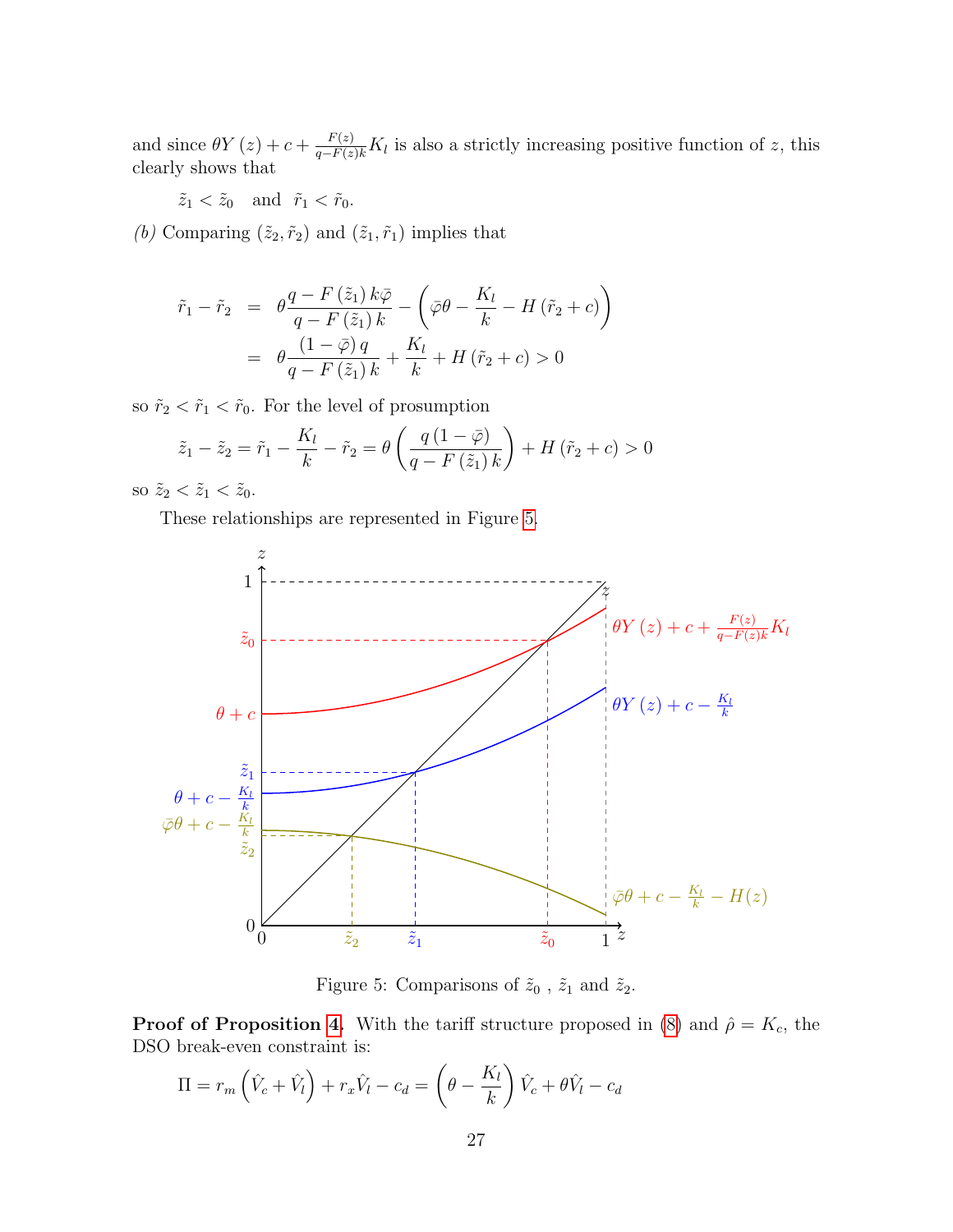and since  $\theta Y(z) + c + \frac{F(z)}{q - F(z)k} K_l$  is also a strictly increasing positive function of z, this clearly shows that

 $\tilde{z}_1 < \tilde{z}_0$  and  $\tilde{r}_1 < \tilde{r}_0$ .

 $(b)$  Comparing  $(\tilde{z}_2, \tilde{r}_2)$  and  $(\tilde{z}_1, \tilde{r}_1)$  implies that

$$
\tilde{r}_1 - \tilde{r}_2 = \theta \frac{q - F(\tilde{z}_1) k \bar{\varphi}}{q - F(\tilde{z}_1) k} - \left( \bar{\varphi} \theta - \frac{K_l}{k} - H(\tilde{r}_2 + c) \right)
$$
\n
$$
= \theta \frac{(1 - \bar{\varphi}) q}{q - F(\tilde{z}_1) k} + \frac{K_l}{k} + H(\tilde{r}_2 + c) > 0
$$

so  $\tilde{r}_2 < \tilde{r}_1 < \tilde{r}_0$ . For the level of prosumption

$$
\tilde{z}_1 - \tilde{z}_2 = \tilde{r}_1 - \frac{K_l}{k} - \tilde{r}_2 = \theta \left( \frac{q(1 - \bar{\varphi})}{q - F(\tilde{z}_1) k} \right) + H(\tilde{r}_2 + c) > 0
$$

so  $\tilde{z}_2 < \tilde{z}_1 < \tilde{z}_0$ .

These relationships are represented in Figure 5.



Figure 5: Comparisons of  $\tilde{z}_0$  ,  $\tilde{z}_1$  and  $\tilde{z}_2.$ 

**Proof of Proposition 4.** With the tariff structure proposed in (8) and  $\hat{\rho} = K_c$ , the DSO break-even constraint is:

$$
\Pi = r_m \left( \hat{V}_c + \hat{V}_l \right) + r_x \hat{V}_l - c_d = \left( \theta - \frac{K_l}{k} \right) \hat{V}_c + \theta \hat{V}_l - c_d
$$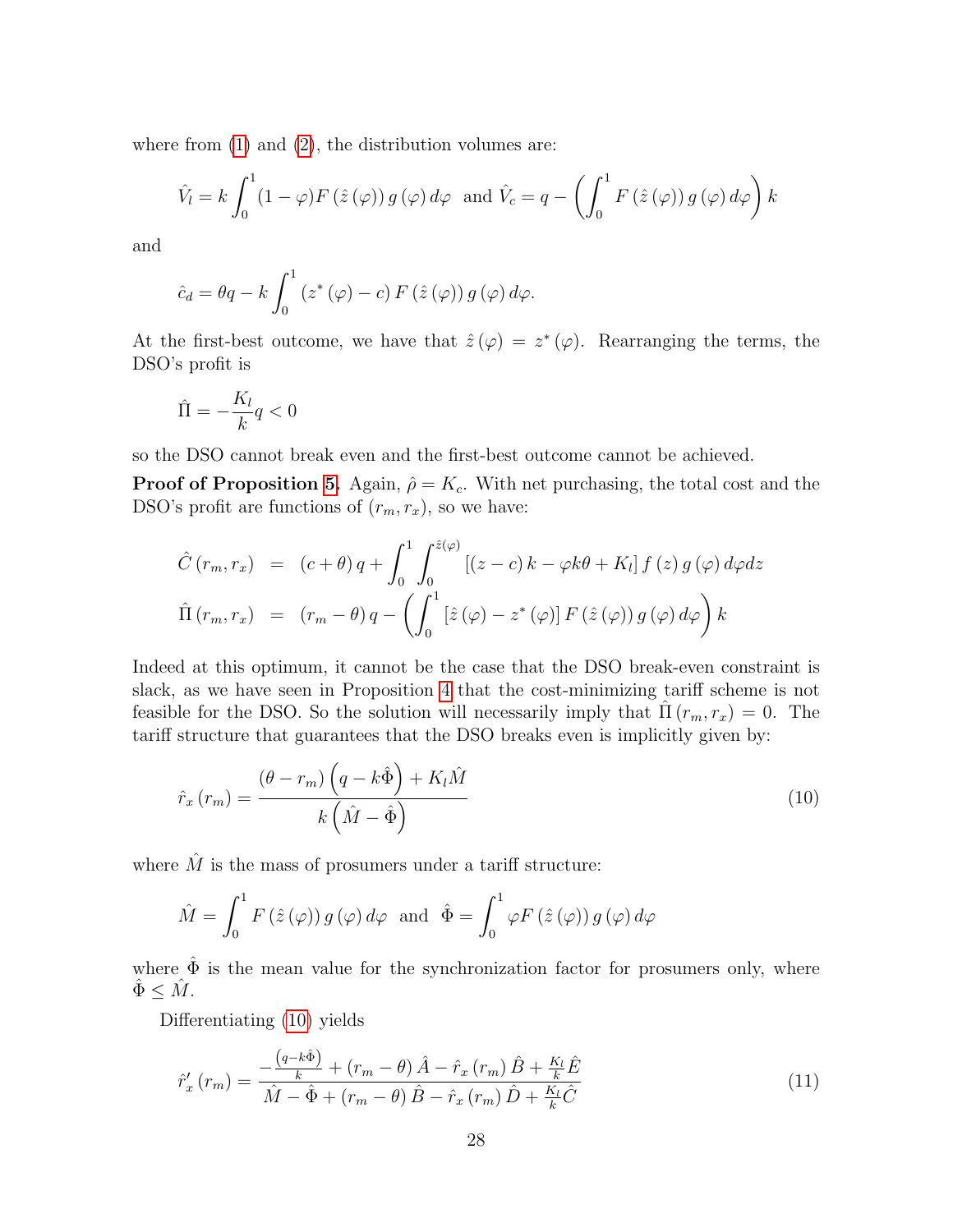where from  $(1)$  and  $(2)$ , the distribution volumes are:

$$
\hat{V}_l = k \int_0^1 (1 - \varphi) F(\hat{z}(\varphi)) g(\varphi) d\varphi \text{ and } \hat{V}_c = q - \left( \int_0^1 F(\hat{z}(\varphi)) g(\varphi) d\varphi \right) k
$$

and

$$
\hat{c}_d = \theta q - k \int_0^1 (z^*(\varphi) - c) F(\hat{z}(\varphi)) g(\varphi) d\varphi.
$$

At the first-best outcome, we have that  $\hat{z}(\varphi) = z^*(\varphi)$ . Rearranging the terms, the DSO's profit is

$$
\hat{\Pi} = -\frac{K_l}{k}q < 0
$$

so the DSO cannot break even and the first-best outcome cannot be achieved.

**Proof of Proposition 5.** Again,  $\hat{\rho} = K_c$ . With net purchasing, the total cost and the DSO's profit are functions of  $(r_m, r_x)$ , so we have:

$$
\hat{C}(r_m, r_x) = (c + \theta) q + \int_0^1 \int_0^{\hat{z}(\varphi)} [(z - c) k - \varphi k\theta + K_l] f(z) g(\varphi) d\varphi dz
$$
  

$$
\hat{\Pi}(r_m, r_x) = (r_m - \theta) q - \left( \int_0^1 [\hat{z}(\varphi) - z^*(\varphi)] F(\hat{z}(\varphi)) g(\varphi) d\varphi \right) k
$$

Indeed at this optimum, it cannot be the case that the DSO break-even constraint is slack, as we have seen in Proposition 4 that the cost-minimizing tariff scheme is not feasible for the DSO. So the solution will necessarily imply that  $\Pi(r_m, r_x) = 0$ . The tariff structure that guarantees that the DSO breaks even is implicitly given by:

$$
\hat{r}_x(r_m) = \frac{(\theta - r_m) \left( q - k \hat{\Phi} \right) + K_l \hat{M}}{k \left( \hat{M} - \hat{\Phi} \right)}
$$
\n(10)

where  $\hat{M}$  is the mass of prosumers under a tariff structure:

$$
\hat{M} = \int_0^1 F(\hat{z}(\varphi)) g(\varphi) d\varphi \text{ and } \hat{\Phi} = \int_0^1 \varphi F(\hat{z}(\varphi)) g(\varphi) d\varphi
$$

where  $\hat{\Phi}$  is the mean value for the synchronization factor for prosumers only, where  $\hat{\Phi} \leq \hat{M}$ .

Differentiating (10) yields

$$
\hat{r}'_x(r_m) = \frac{-\frac{\left(q - k\hat{\Phi}\right)}{k} + \left(r_m - \theta\right)\hat{A} - \hat{r}_x\left(r_m\right)\hat{B} + \frac{K_l}{k}\hat{E}}{\hat{M} - \hat{\Phi} + \left(r_m - \theta\right)\hat{B} - \hat{r}_x\left(r_m\right)\hat{D} + \frac{K_l}{k}\hat{C}}
$$
\n(11)